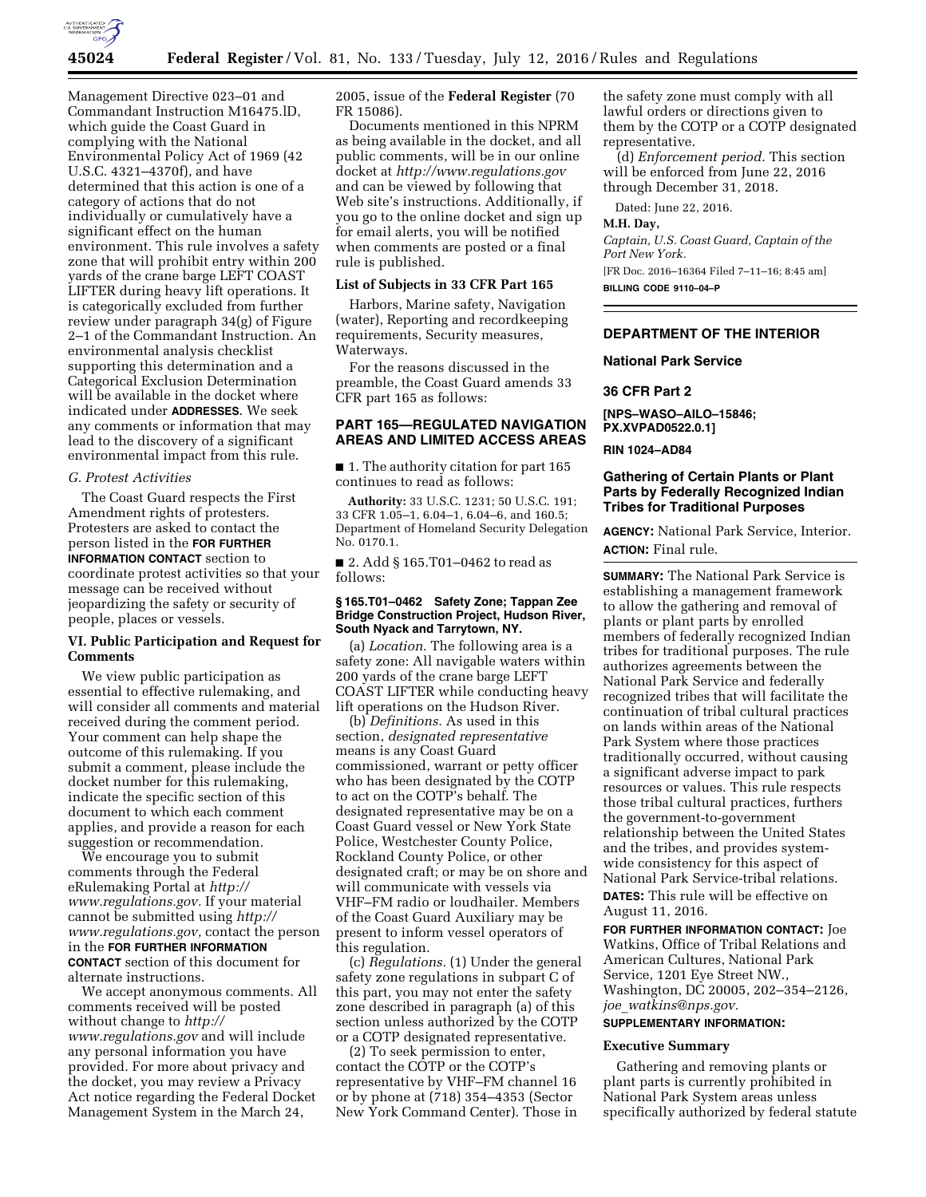

Management Directive 023–01 and Commandant Instruction M16475.lD, which guide the Coast Guard in complying with the National Environmental Policy Act of 1969 (42 U.S.C. 4321–4370f), and have determined that this action is one of a category of actions that do not individually or cumulatively have a significant effect on the human environment. This rule involves a safety zone that will prohibit entry within 200 yards of the crane barge LEFT COAST LIFTER during heavy lift operations. It is categorically excluded from further review under paragraph 34(g) of Figure 2–1 of the Commandant Instruction. An environmental analysis checklist supporting this determination and a Categorical Exclusion Determination will be available in the docket where indicated under **ADDRESSES**. We seek any comments or information that may lead to the discovery of a significant environmental impact from this rule.

#### *G. Protest Activities*

The Coast Guard respects the First Amendment rights of protesters. Protesters are asked to contact the person listed in the **FOR FURTHER INFORMATION CONTACT** section to coordinate protest activities so that your message can be received without jeopardizing the safety or security of people, places or vessels.

### **VI. Public Participation and Request for Comments**

We view public participation as essential to effective rulemaking, and will consider all comments and material received during the comment period. Your comment can help shape the outcome of this rulemaking. If you submit a comment, please include the docket number for this rulemaking, indicate the specific section of this document to which each comment applies, and provide a reason for each suggestion or recommendation.

We encourage you to submit comments through the Federal eRulemaking Portal at *[http://](http://www.regulations.gov)  [www.regulations.gov.](http://www.regulations.gov)* If your material cannot be submitted using *[http://](http://www.regulations.gov)  [www.regulations.gov,](http://www.regulations.gov)* contact the person in the **FOR FURTHER INFORMATION CONTACT** section of this document for alternate instructions.

We accept anonymous comments. All comments received will be posted without change to *[http://](http://www.regulations.gov) [www.regulations.gov](http://www.regulations.gov)* and will include any personal information you have provided. For more about privacy and the docket, you may review a Privacy Act notice regarding the Federal Docket Management System in the March 24,

2005, issue of the **Federal Register** (70 FR 15086).

Documents mentioned in this NPRM as being available in the docket, and all public comments, will be in our online docket at *<http://www.regulations.gov>*  and can be viewed by following that Web site's instructions. Additionally, if you go to the online docket and sign up for email alerts, you will be notified when comments are posted or a final rule is published.

#### **List of Subjects in 33 CFR Part 165**

Harbors, Marine safety, Navigation (water), Reporting and recordkeeping requirements, Security measures, Waterways.

For the reasons discussed in the preamble, the Coast Guard amends 33 CFR part 165 as follows:

## **PART 165—REGULATED NAVIGATION AREAS AND LIMITED ACCESS AREAS**

■ 1. The authority citation for part 165 continues to read as follows:

**Authority:** 33 U.S.C. 1231; 50 U.S.C. 191; 33 CFR 1.05–1, 6.04–1, 6.04–6, and 160.5; Department of Homeland Security Delegation No. 0170.1.

■ 2. Add § 165.T01–0462 to read as follows:

#### **§ 165.T01–0462 Safety Zone; Tappan Zee Bridge Construction Project, Hudson River, South Nyack and Tarrytown, NY.**

(a) *Location.* The following area is a safety zone: All navigable waters within 200 yards of the crane barge LEFT COAST LIFTER while conducting heavy lift operations on the Hudson River.

(b) *Definitions.* As used in this section, *designated representative*  means is any Coast Guard commissioned, warrant or petty officer who has been designated by the COTP to act on the COTP's behalf. The designated representative may be on a Coast Guard vessel or New York State Police, Westchester County Police, Rockland County Police, or other designated craft; or may be on shore and will communicate with vessels via VHF–FM radio or loudhailer. Members of the Coast Guard Auxiliary may be present to inform vessel operators of this regulation.

(c) *Regulations.* (1) Under the general safety zone regulations in subpart C of this part, you may not enter the safety zone described in paragraph (a) of this section unless authorized by the COTP or a COTP designated representative.

(2) To seek permission to enter, contact the COTP or the COTP's representative by VHF–FM channel 16 or by phone at (718) 354–4353 (Sector New York Command Center). Those in

the safety zone must comply with all lawful orders or directions given to them by the COTP or a COTP designated representative.

(d) *Enforcement period.* This section will be enforced from June 22, 2016 through December 31, 2018.

Dated: June 22, 2016.

### **M.H. Day,**

*Captain, U.S. Coast Guard, Captain of the Port New York.*  [FR Doc. 2016–16364 Filed 7–11–16; 8:45 am] **BILLING CODE 9110–04–P** 

### **DEPARTMENT OF THE INTERIOR**

### **National Park Service**

**36 CFR Part 2** 

**[NPS–WASO–AILO–15846; PX.XVPAD0522.0.1]** 

### **RIN 1024–AD84**

### **Gathering of Certain Plants or Plant Parts by Federally Recognized Indian Tribes for Traditional Purposes**

**AGENCY:** National Park Service, Interior. **ACTION:** Final rule.

**SUMMARY:** The National Park Service is establishing a management framework to allow the gathering and removal of plants or plant parts by enrolled members of federally recognized Indian tribes for traditional purposes. The rule authorizes agreements between the National Park Service and federally recognized tribes that will facilitate the continuation of tribal cultural practices on lands within areas of the National Park System where those practices traditionally occurred, without causing a significant adverse impact to park resources or values. This rule respects those tribal cultural practices, furthers the government-to-government relationship between the United States and the tribes, and provides systemwide consistency for this aspect of National Park Service-tribal relations. **DATES:** This rule will be effective on August 11, 2016.

**FOR FURTHER INFORMATION CONTACT:** Joe Watkins, Office of Tribal Relations and American Cultures, National Park Service, 1201 Eye Street NW., Washington, DC 20005, 202–354–2126, *joe*\_*[watkins@nps.gov.](mailto:joe_watkins@nps.gov)* 

# **SUPPLEMENTARY INFORMATION:**

#### **Executive Summary**

Gathering and removing plants or plant parts is currently prohibited in National Park System areas unless specifically authorized by federal statute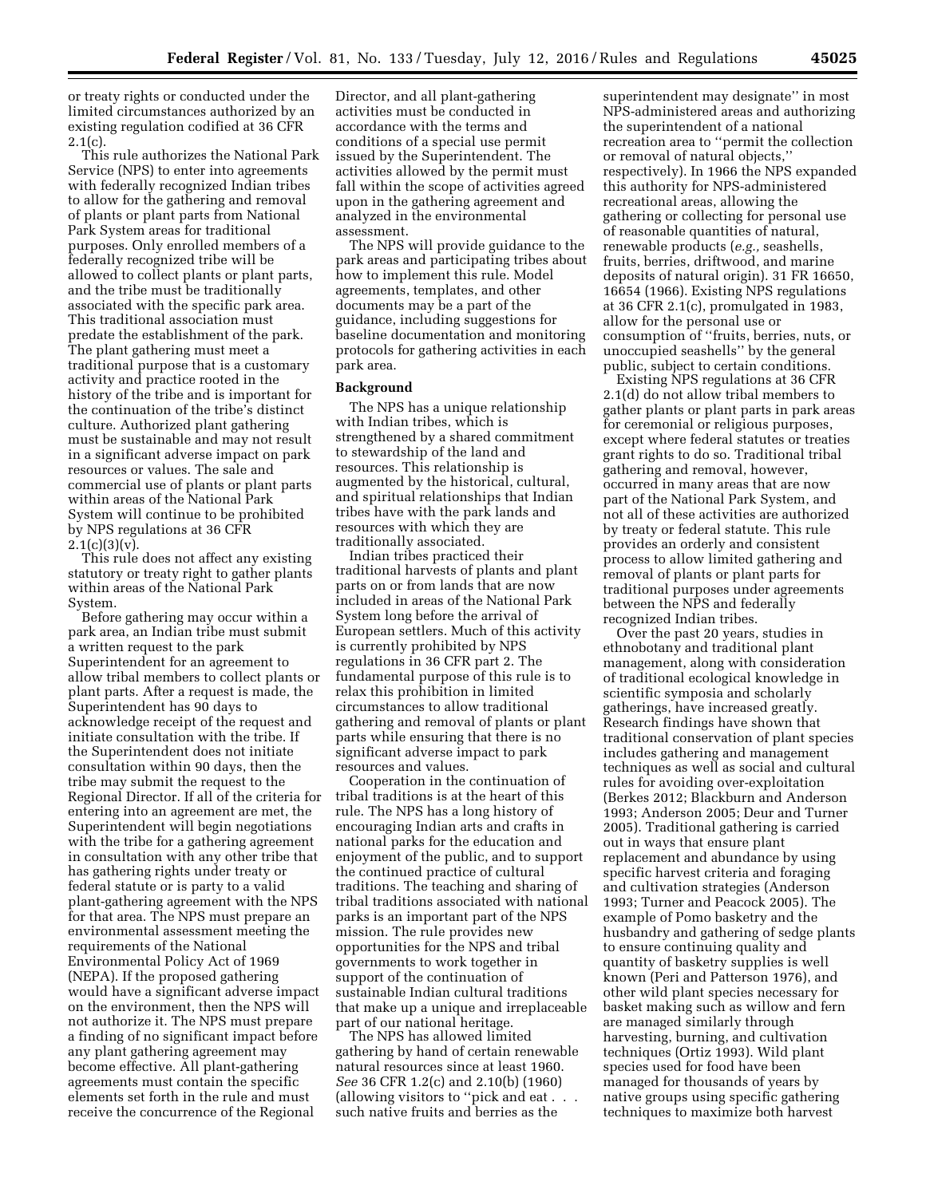or treaty rights or conducted under the limited circumstances authorized by an existing regulation codified at 36 CFR  $2.1(c)$ .

This rule authorizes the National Park Service (NPS) to enter into agreements with federally recognized Indian tribes to allow for the gathering and removal of plants or plant parts from National Park System areas for traditional purposes. Only enrolled members of a federally recognized tribe will be allowed to collect plants or plant parts, and the tribe must be traditionally associated with the specific park area. This traditional association must predate the establishment of the park. The plant gathering must meet a traditional purpose that is a customary activity and practice rooted in the history of the tribe and is important for the continuation of the tribe's distinct culture. Authorized plant gathering must be sustainable and may not result in a significant adverse impact on park resources or values. The sale and commercial use of plants or plant parts within areas of the National Park System will continue to be prohibited by NPS regulations at 36 CFR 2.1(c)(3)(v).

This rule does not affect any existing statutory or treaty right to gather plants within areas of the National Park System.

Before gathering may occur within a park area, an Indian tribe must submit a written request to the park Superintendent for an agreement to allow tribal members to collect plants or plant parts. After a request is made, the Superintendent has 90 days to acknowledge receipt of the request and initiate consultation with the tribe. If the Superintendent does not initiate consultation within 90 days, then the tribe may submit the request to the Regional Director. If all of the criteria for entering into an agreement are met, the Superintendent will begin negotiations with the tribe for a gathering agreement in consultation with any other tribe that has gathering rights under treaty or federal statute or is party to a valid plant-gathering agreement with the NPS for that area. The NPS must prepare an environmental assessment meeting the requirements of the National Environmental Policy Act of 1969 (NEPA). If the proposed gathering would have a significant adverse impact on the environment, then the NPS will not authorize it. The NPS must prepare a finding of no significant impact before any plant gathering agreement may become effective. All plant-gathering agreements must contain the specific elements set forth in the rule and must receive the concurrence of the Regional

Director, and all plant-gathering activities must be conducted in accordance with the terms and conditions of a special use permit issued by the Superintendent. The activities allowed by the permit must fall within the scope of activities agreed upon in the gathering agreement and analyzed in the environmental assessment.

The NPS will provide guidance to the park areas and participating tribes about how to implement this rule. Model agreements, templates, and other documents may be a part of the guidance, including suggestions for baseline documentation and monitoring protocols for gathering activities in each park area.

#### **Background**

The NPS has a unique relationship with Indian tribes, which is strengthened by a shared commitment to stewardship of the land and resources. This relationship is augmented by the historical, cultural, and spiritual relationships that Indian tribes have with the park lands and resources with which they are traditionally associated.

Indian tribes practiced their traditional harvests of plants and plant parts on or from lands that are now included in areas of the National Park System long before the arrival of European settlers. Much of this activity is currently prohibited by NPS regulations in 36 CFR part 2. The fundamental purpose of this rule is to relax this prohibition in limited circumstances to allow traditional gathering and removal of plants or plant parts while ensuring that there is no significant adverse impact to park resources and values.

Cooperation in the continuation of tribal traditions is at the heart of this rule. The NPS has a long history of encouraging Indian arts and crafts in national parks for the education and enjoyment of the public, and to support the continued practice of cultural traditions. The teaching and sharing of tribal traditions associated with national parks is an important part of the NPS mission. The rule provides new opportunities for the NPS and tribal governments to work together in support of the continuation of sustainable Indian cultural traditions that make up a unique and irreplaceable part of our national heritage.

The NPS has allowed limited gathering by hand of certain renewable natural resources since at least 1960. *See* 36 CFR 1.2(c) and 2.10(b) (1960) (allowing visitors to ''pick and eat . . . such native fruits and berries as the

superintendent may designate'' in most NPS-administered areas and authorizing the superintendent of a national recreation area to ''permit the collection or removal of natural objects,'' respectively). In 1966 the NPS expanded this authority for NPS-administered recreational areas, allowing the gathering or collecting for personal use of reasonable quantities of natural, renewable products (*e.g.,* seashells, fruits, berries, driftwood, and marine deposits of natural origin). 31 FR 16650, 16654 (1966). Existing NPS regulations at 36 CFR 2.1(c), promulgated in 1983, allow for the personal use or consumption of ''fruits, berries, nuts, or unoccupied seashells'' by the general public, subject to certain conditions.

Existing NPS regulations at 36 CFR 2.1(d) do not allow tribal members to gather plants or plant parts in park areas for ceremonial or religious purposes, except where federal statutes or treaties grant rights to do so. Traditional tribal gathering and removal, however, occurred in many areas that are now part of the National Park System, and not all of these activities are authorized by treaty or federal statute. This rule provides an orderly and consistent process to allow limited gathering and removal of plants or plant parts for traditional purposes under agreements between the NPS and federally recognized Indian tribes.

Over the past 20 years, studies in ethnobotany and traditional plant management, along with consideration of traditional ecological knowledge in scientific symposia and scholarly gatherings, have increased greatly. Research findings have shown that traditional conservation of plant species includes gathering and management techniques as well as social and cultural rules for avoiding over-exploitation (Berkes 2012; Blackburn and Anderson 1993; Anderson 2005; Deur and Turner 2005). Traditional gathering is carried out in ways that ensure plant replacement and abundance by using specific harvest criteria and foraging and cultivation strategies (Anderson 1993; Turner and Peacock 2005). The example of Pomo basketry and the husbandry and gathering of sedge plants to ensure continuing quality and quantity of basketry supplies is well known (Peri and Patterson 1976), and other wild plant species necessary for basket making such as willow and fern are managed similarly through harvesting, burning, and cultivation techniques (Ortiz 1993). Wild plant species used for food have been managed for thousands of years by native groups using specific gathering techniques to maximize both harvest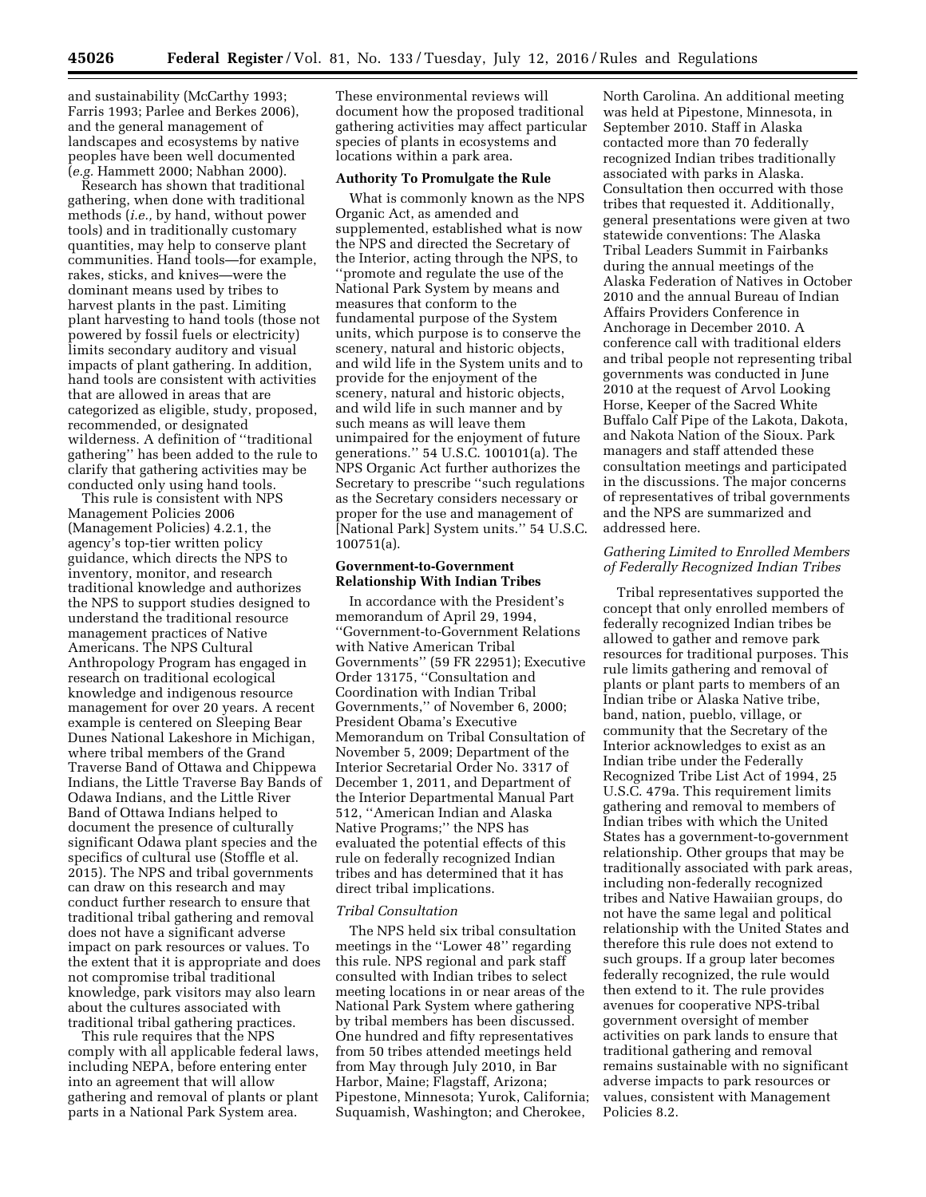and sustainability (McCarthy 1993; Farris 1993; Parlee and Berkes 2006), and the general management of landscapes and ecosystems by native

peoples have been well documented (*e.g.* Hammett 2000; Nabhan 2000). Research has shown that traditional gathering, when done with traditional methods (*i.e.,* by hand, without power tools) and in traditionally customary quantities, may help to conserve plant communities. Hand tools—for example, rakes, sticks, and knives—were the dominant means used by tribes to harvest plants in the past. Limiting plant harvesting to hand tools (those not powered by fossil fuels or electricity) limits secondary auditory and visual impacts of plant gathering. In addition, hand tools are consistent with activities that are allowed in areas that are categorized as eligible, study, proposed, recommended, or designated wilderness. A definition of ''traditional gathering'' has been added to the rule to clarify that gathering activities may be conducted only using hand tools.

This rule is consistent with NPS Management Policies 2006 (Management Policies) 4.2.1, the agency's top-tier written policy guidance, which directs the NPS to inventory, monitor, and research traditional knowledge and authorizes the NPS to support studies designed to understand the traditional resource management practices of Native Americans. The NPS Cultural Anthropology Program has engaged in research on traditional ecological knowledge and indigenous resource management for over 20 years. A recent example is centered on Sleeping Bear Dunes National Lakeshore in Michigan, where tribal members of the Grand Traverse Band of Ottawa and Chippewa Indians, the Little Traverse Bay Bands of Odawa Indians, and the Little River Band of Ottawa Indians helped to document the presence of culturally significant Odawa plant species and the specifics of cultural use (Stoffle et al. 2015). The NPS and tribal governments can draw on this research and may conduct further research to ensure that traditional tribal gathering and removal does not have a significant adverse impact on park resources or values. To the extent that it is appropriate and does not compromise tribal traditional knowledge, park visitors may also learn about the cultures associated with traditional tribal gathering practices.

This rule requires that the NPS comply with all applicable federal laws, including NEPA, before entering enter into an agreement that will allow gathering and removal of plants or plant parts in a National Park System area.

These environmental reviews will document how the proposed traditional gathering activities may affect particular species of plants in ecosystems and locations within a park area.

#### **Authority To Promulgate the Rule**

What is commonly known as the NPS Organic Act, as amended and supplemented, established what is now the NPS and directed the Secretary of the Interior, acting through the NPS, to ''promote and regulate the use of the National Park System by means and measures that conform to the fundamental purpose of the System units, which purpose is to conserve the scenery, natural and historic objects, and wild life in the System units and to provide for the enjoyment of the scenery, natural and historic objects, and wild life in such manner and by such means as will leave them unimpaired for the enjoyment of future generations.'' 54 U.S.C. 100101(a). The NPS Organic Act further authorizes the Secretary to prescribe ''such regulations as the Secretary considers necessary or proper for the use and management of [National Park] System units.'' 54 U.S.C. 100751(a).

#### **Government-to-Government Relationship With Indian Tribes**

In accordance with the President's memorandum of April 29, 1994, ''Government-to-Government Relations with Native American Tribal Governments'' (59 FR 22951); Executive Order 13175, ''Consultation and Coordination with Indian Tribal Governments,'' of November 6, 2000; President Obama's Executive Memorandum on Tribal Consultation of November 5, 2009; Department of the Interior Secretarial Order No. 3317 of December 1, 2011, and Department of the Interior Departmental Manual Part 512, ''American Indian and Alaska Native Programs;'' the NPS has evaluated the potential effects of this rule on federally recognized Indian tribes and has determined that it has direct tribal implications.

#### *Tribal Consultation*

The NPS held six tribal consultation meetings in the ''Lower 48'' regarding this rule. NPS regional and park staff consulted with Indian tribes to select meeting locations in or near areas of the National Park System where gathering by tribal members has been discussed. One hundred and fifty representatives from 50 tribes attended meetings held from May through July 2010, in Bar Harbor, Maine; Flagstaff, Arizona; Pipestone, Minnesota; Yurok, California; Suquamish, Washington; and Cherokee,

North Carolina. An additional meeting was held at Pipestone, Minnesota, in September 2010. Staff in Alaska contacted more than 70 federally recognized Indian tribes traditionally associated with parks in Alaska. Consultation then occurred with those tribes that requested it. Additionally, general presentations were given at two statewide conventions: The Alaska Tribal Leaders Summit in Fairbanks during the annual meetings of the Alaska Federation of Natives in October 2010 and the annual Bureau of Indian Affairs Providers Conference in Anchorage in December 2010. A conference call with traditional elders and tribal people not representing tribal governments was conducted in June 2010 at the request of Arvol Looking Horse, Keeper of the Sacred White Buffalo Calf Pipe of the Lakota, Dakota, and Nakota Nation of the Sioux. Park managers and staff attended these consultation meetings and participated in the discussions. The major concerns of representatives of tribal governments and the NPS are summarized and addressed here.

### *Gathering Limited to Enrolled Members of Federally Recognized Indian Tribes*

Tribal representatives supported the concept that only enrolled members of federally recognized Indian tribes be allowed to gather and remove park resources for traditional purposes. This rule limits gathering and removal of plants or plant parts to members of an Indian tribe or Alaska Native tribe, band, nation, pueblo, village, or community that the Secretary of the Interior acknowledges to exist as an Indian tribe under the Federally Recognized Tribe List Act of 1994, 25 U.S.C. 479a. This requirement limits gathering and removal to members of Indian tribes with which the United States has a government-to-government relationship. Other groups that may be traditionally associated with park areas, including non-federally recognized tribes and Native Hawaiian groups, do not have the same legal and political relationship with the United States and therefore this rule does not extend to such groups. If a group later becomes federally recognized, the rule would then extend to it. The rule provides avenues for cooperative NPS-tribal government oversight of member activities on park lands to ensure that traditional gathering and removal remains sustainable with no significant adverse impacts to park resources or values, consistent with Management Policies 8.2.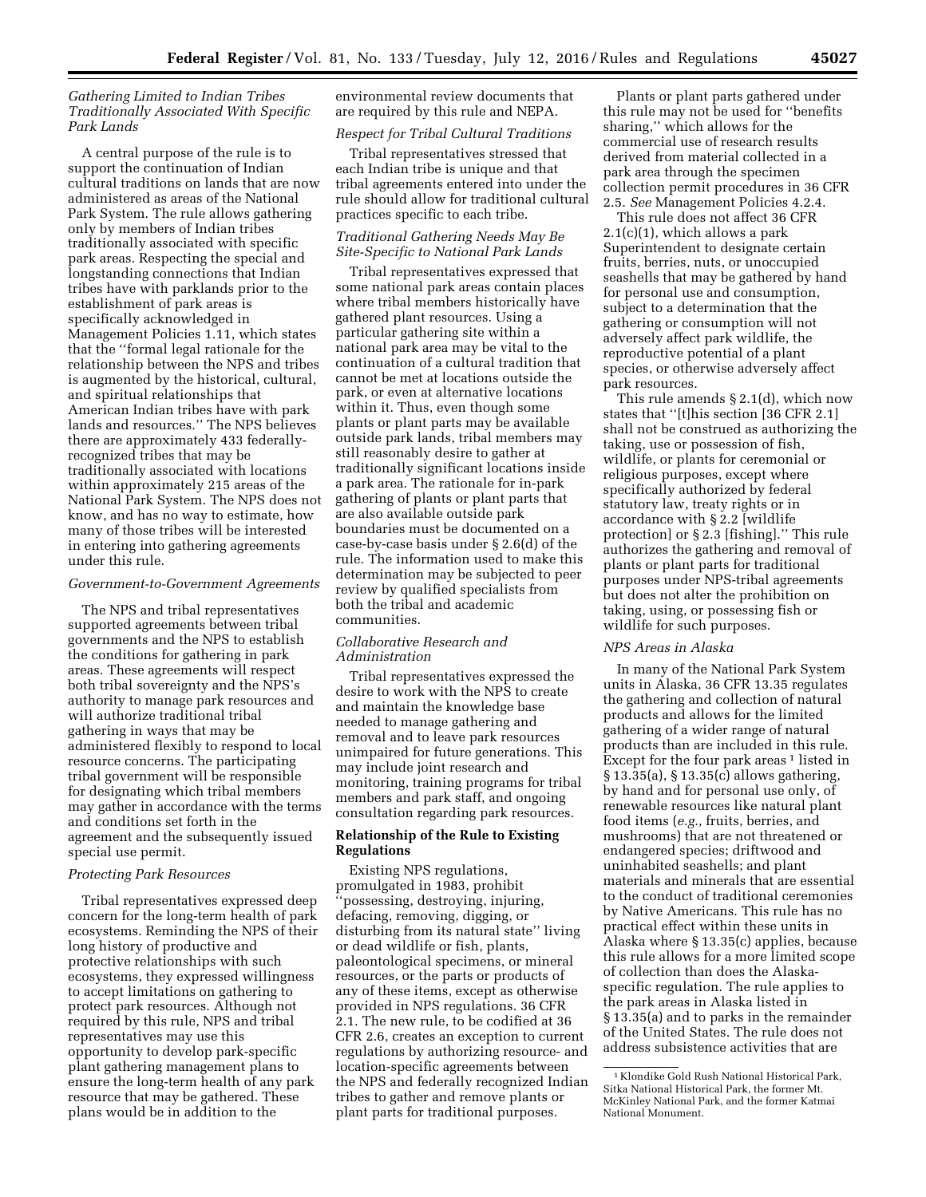## *Gathering Limited to Indian Tribes Traditionally Associated With Specific Park Lands*

A central purpose of the rule is to support the continuation of Indian cultural traditions on lands that are now administered as areas of the National Park System. The rule allows gathering only by members of Indian tribes traditionally associated with specific park areas. Respecting the special and longstanding connections that Indian tribes have with parklands prior to the establishment of park areas is specifically acknowledged in Management Policies 1.11, which states that the ''formal legal rationale for the relationship between the NPS and tribes is augmented by the historical, cultural, and spiritual relationships that American Indian tribes have with park lands and resources.'' The NPS believes there are approximately 433 federallyrecognized tribes that may be traditionally associated with locations within approximately 215 areas of the National Park System. The NPS does not know, and has no way to estimate, how many of those tribes will be interested in entering into gathering agreements under this rule.

#### *Government-to-Government Agreements*

The NPS and tribal representatives supported agreements between tribal governments and the NPS to establish the conditions for gathering in park areas. These agreements will respect both tribal sovereignty and the NPS's authority to manage park resources and will authorize traditional tribal gathering in ways that may be administered flexibly to respond to local resource concerns. The participating tribal government will be responsible for designating which tribal members may gather in accordance with the terms and conditions set forth in the agreement and the subsequently issued special use permit.

#### *Protecting Park Resources*

Tribal representatives expressed deep concern for the long-term health of park ecosystems. Reminding the NPS of their long history of productive and protective relationships with such ecosystems, they expressed willingness to accept limitations on gathering to protect park resources. Although not required by this rule, NPS and tribal representatives may use this opportunity to develop park-specific plant gathering management plans to ensure the long-term health of any park resource that may be gathered. These plans would be in addition to the

environmental review documents that are required by this rule and NEPA.

# *Respect for Tribal Cultural Traditions*

Tribal representatives stressed that each Indian tribe is unique and that tribal agreements entered into under the rule should allow for traditional cultural practices specific to each tribe.

## *Traditional Gathering Needs May Be Site-Specific to National Park Lands*

Tribal representatives expressed that some national park areas contain places where tribal members historically have gathered plant resources. Using a particular gathering site within a national park area may be vital to the continuation of a cultural tradition that cannot be met at locations outside the park, or even at alternative locations within it. Thus, even though some plants or plant parts may be available outside park lands, tribal members may still reasonably desire to gather at traditionally significant locations inside a park area. The rationale for in-park gathering of plants or plant parts that are also available outside park boundaries must be documented on a case-by-case basis under § 2.6(d) of the rule. The information used to make this determination may be subjected to peer review by qualified specialists from both the tribal and academic communities.

## *Collaborative Research and Administration*

Tribal representatives expressed the desire to work with the NPS to create and maintain the knowledge base needed to manage gathering and removal and to leave park resources unimpaired for future generations. This may include joint research and monitoring, training programs for tribal members and park staff, and ongoing consultation regarding park resources.

### **Relationship of the Rule to Existing Regulations**

Existing NPS regulations, promulgated in 1983, prohibit ''possessing, destroying, injuring, defacing, removing, digging, or disturbing from its natural state'' living or dead wildlife or fish, plants, paleontological specimens, or mineral resources, or the parts or products of any of these items, except as otherwise provided in NPS regulations. 36 CFR 2.1. The new rule, to be codified at 36 CFR 2.6, creates an exception to current regulations by authorizing resource- and location-specific agreements between the NPS and federally recognized Indian tribes to gather and remove plants or plant parts for traditional purposes.

Plants or plant parts gathered under this rule may not be used for ''benefits sharing,'' which allows for the commercial use of research results derived from material collected in a park area through the specimen collection permit procedures in 36 CFR 2.5. *See* Management Policies 4.2.4.

This rule does not affect 36 CFR  $2.1(c)(1)$ , which allows a park Superintendent to designate certain fruits, berries, nuts, or unoccupied seashells that may be gathered by hand for personal use and consumption, subject to a determination that the gathering or consumption will not adversely affect park wildlife, the reproductive potential of a plant species, or otherwise adversely affect park resources.

This rule amends § 2.1(d), which now states that ''[t]his section [36 CFR 2.1] shall not be construed as authorizing the taking, use or possession of fish, wildlife, or plants for ceremonial or religious purposes, except where specifically authorized by federal statutory law, treaty rights or in accordance with § 2.2 [wildlife protection] or § 2.3 [fishing].'' This rule authorizes the gathering and removal of plants or plant parts for traditional purposes under NPS-tribal agreements but does not alter the prohibition on taking, using, or possessing fish or wildlife for such purposes.

#### *NPS Areas in Alaska*

In many of the National Park System units in Alaska, 36 CFR 13.35 regulates the gathering and collection of natural products and allows for the limited gathering of a wider range of natural products than are included in this rule. Except for the four park areas <sup>1</sup> listed in § 13.35(a), § 13.35(c) allows gathering, by hand and for personal use only, of renewable resources like natural plant food items (*e.g.,* fruits, berries, and mushrooms) that are not threatened or endangered species; driftwood and uninhabited seashells; and plant materials and minerals that are essential to the conduct of traditional ceremonies by Native Americans. This rule has no practical effect within these units in Alaska where § 13.35(c) applies, because this rule allows for a more limited scope of collection than does the Alaskaspecific regulation. The rule applies to the park areas in Alaska listed in § 13.35(a) and to parks in the remainder of the United States. The rule does not address subsistence activities that are

<sup>1</sup> Klondike Gold Rush National Historical Park, Sitka National Historical Park, the former Mt. McKinley National Park, and the former Katmai National Monument.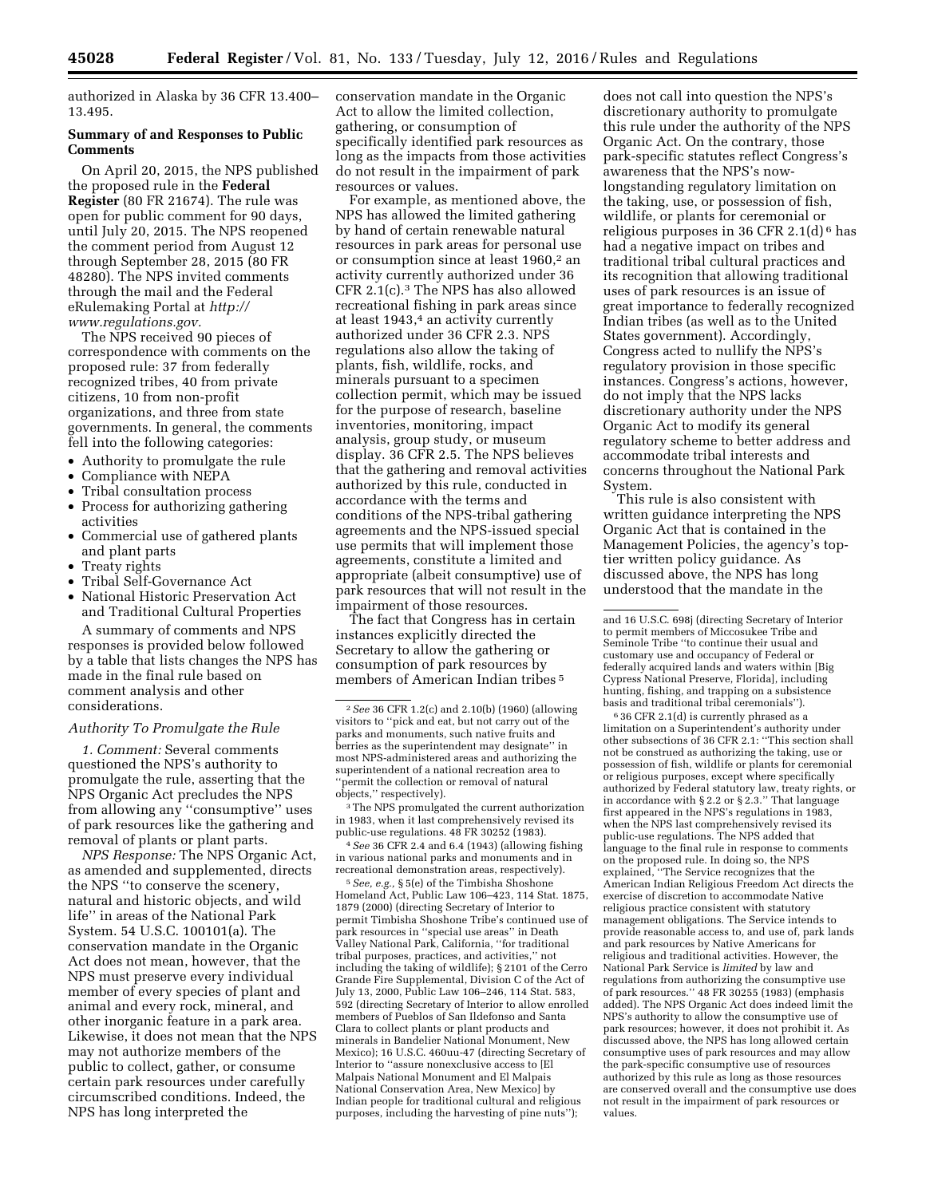authorized in Alaska by 36 CFR 13.400– 13.495.

### **Summary of and Responses to Public Comments**

On April 20, 2015, the NPS published the proposed rule in the **Federal Register** (80 FR 21674). The rule was open for public comment for 90 days, until July 20, 2015. The NPS reopened the comment period from August 12 through September 28, 2015 (80 FR 48280). The NPS invited comments through the mail and the Federal eRulemaking Portal at *[http://](http://www.regulations.gov) [www.regulations.gov.](http://www.regulations.gov)* 

The NPS received 90 pieces of correspondence with comments on the proposed rule: 37 from federally recognized tribes, 40 from private citizens, 10 from non-profit organizations, and three from state governments. In general, the comments fell into the following categories:

- Authority to promulgate the rule
- Compliance with NEPA
- Tribal consultation process
- Process for authorizing gathering activities
- Commercial use of gathered plants and plant parts
- Treaty rights
- Tribal Self-Governance Act
- National Historic Preservation Act and Traditional Cultural Properties

A summary of comments and NPS responses is provided below followed by a table that lists changes the NPS has made in the final rule based on comment analysis and other considerations.

### *Authority To Promulgate the Rule*

*1. Comment:* Several comments questioned the NPS's authority to promulgate the rule, asserting that the NPS Organic Act precludes the NPS from allowing any ''consumptive'' uses of park resources like the gathering and removal of plants or plant parts.

*NPS Response:* The NPS Organic Act, as amended and supplemented, directs the NPS ''to conserve the scenery, natural and historic objects, and wild life'' in areas of the National Park System. 54 U.S.C. 100101(a). The conservation mandate in the Organic Act does not mean, however, that the NPS must preserve every individual member of every species of plant and animal and every rock, mineral, and other inorganic feature in a park area. Likewise, it does not mean that the NPS may not authorize members of the public to collect, gather, or consume certain park resources under carefully circumscribed conditions. Indeed, the NPS has long interpreted the

conservation mandate in the Organic Act to allow the limited collection, gathering, or consumption of specifically identified park resources as long as the impacts from those activities do not result in the impairment of park resources or values.

For example, as mentioned above, the NPS has allowed the limited gathering by hand of certain renewable natural resources in park areas for personal use or consumption since at least 1960,<sup>2</sup> an activity currently authorized under 36 CFR 2.1(c).3 The NPS has also allowed recreational fishing in park areas since at least 1943,<sup>4</sup> an activity currently authorized under 36 CFR 2.3. NPS regulations also allow the taking of plants, fish, wildlife, rocks, and minerals pursuant to a specimen collection permit, which may be issued for the purpose of research, baseline inventories, monitoring, impact analysis, group study, or museum display. 36 CFR 2.5. The NPS believes that the gathering and removal activities authorized by this rule, conducted in accordance with the terms and conditions of the NPS-tribal gathering agreements and the NPS-issued special use permits that will implement those agreements, constitute a limited and appropriate (albeit consumptive) use of park resources that will not result in the impairment of those resources.

The fact that Congress has in certain instances explicitly directed the Secretary to allow the gathering or consumption of park resources by members of American Indian tribes 5

3The NPS promulgated the current authorization in 1983, when it last comprehensively revised its public-use regulations. 48 FR 30252 (1983).

4*See* 36 CFR 2.4 and 6.4 (1943) (allowing fishing in various national parks and monuments and in recreational demonstration areas, respectively).

5*See, e.g.,* § 5(e) of the Timbisha Shoshone Homeland Act, Public Law 106–423, 114 Stat. 1875, 1879 (2000) (directing Secretary of Interior to permit Timbisha Shoshone Tribe's continued use of park resources in ''special use areas'' in Death Valley National Park, California, ''for traditional tribal purposes, practices, and activities,'' not including the taking of wildlife); § 2101 of the Cerro Grande Fire Supplemental, Division C of the Act of July 13, 2000, Public Law 106–246, 114 Stat. 583, 592 (directing Secretary of Interior to allow enrolled members of Pueblos of San Ildefonso and Santa Clara to collect plants or plant products and minerals in Bandelier National Monument, New Mexico); 16 U.S.C. 460uu-47 (directing Secretary of Interior to ''assure nonexclusive access to [El Malpais National Monument and El Malpais National Conservation Area, New Mexico] by Indian people for traditional cultural and religious purposes, including the harvesting of pine nuts'');

does not call into question the NPS's discretionary authority to promulgate this rule under the authority of the NPS Organic Act. On the contrary, those park-specific statutes reflect Congress's awareness that the NPS's nowlongstanding regulatory limitation on the taking, use, or possession of fish, wildlife, or plants for ceremonial or religious purposes in 36 CFR 2.1(d)<sup> $\theta$ </sup> has had a negative impact on tribes and traditional tribal cultural practices and its recognition that allowing traditional uses of park resources is an issue of great importance to federally recognized Indian tribes (as well as to the United States government). Accordingly, Congress acted to nullify the NPS's regulatory provision in those specific instances. Congress's actions, however, do not imply that the NPS lacks discretionary authority under the NPS Organic Act to modify its general regulatory scheme to better address and accommodate tribal interests and concerns throughout the National Park System.

This rule is also consistent with written guidance interpreting the NPS Organic Act that is contained in the Management Policies, the agency's toptier written policy guidance. As discussed above, the NPS has long understood that the mandate in the

6 36 CFR 2.1(d) is currently phrased as a limitation on a Superintendent's authority under other subsections of 36 CFR 2.1: ''This section shall not be construed as authorizing the taking, use or possession of fish, wildlife or plants for ceremonial or religious purposes, except where specifically authorized by Federal statutory law, treaty rights, or in accordance with § 2.2 or § 2.3.'' That language first appeared in the NPS's regulations in 1983, when the NPS last comprehensively revised its public-use regulations. The NPS added that language to the final rule in response to comments on the proposed rule. In doing so, the NPS explained, ''The Service recognizes that the American Indian Religious Freedom Act directs the exercise of discretion to accommodate Native religious practice consistent with statutory management obligations. The Service intends to provide reasonable access to, and use of, park lands and park resources by Native Americans for religious and traditional activities. However, the National Park Service is *limited* by law and regulations from authorizing the consumptive use of park resources.'' 48 FR 30255 (1983) (emphasis added). The NPS Organic Act does indeed limit the NPS's authority to allow the consumptive use of park resources; however, it does not prohibit it. As discussed above, the NPS has long allowed certain consumptive uses of park resources and may allow the park-specific consumptive use of resources authorized by this rule as long as those resources are conserved overall and the consumptive use does not result in the impairment of park resources or values.

<sup>2</sup>*See* 36 CFR 1.2(c) and 2.10(b) (1960) (allowing visitors to ''pick and eat, but not carry out of the parks and monuments, such native fruits and berries as the superintendent may designate'' in most NPS-administered areas and authorizing the superintendent of a national recreation area to 'permit the collection or removal of natural objects,'' respectively).

and 16 U.S.C. 698j (directing Secretary of Interior to permit members of Miccosukee Tribe and Seminole Tribe ''to continue their usual and customary use and occupancy of Federal or federally acquired lands and waters within [Big Cypress National Preserve, Florida], including hunting, fishing, and trapping on a subsistence basis and traditional tribal ceremonials'').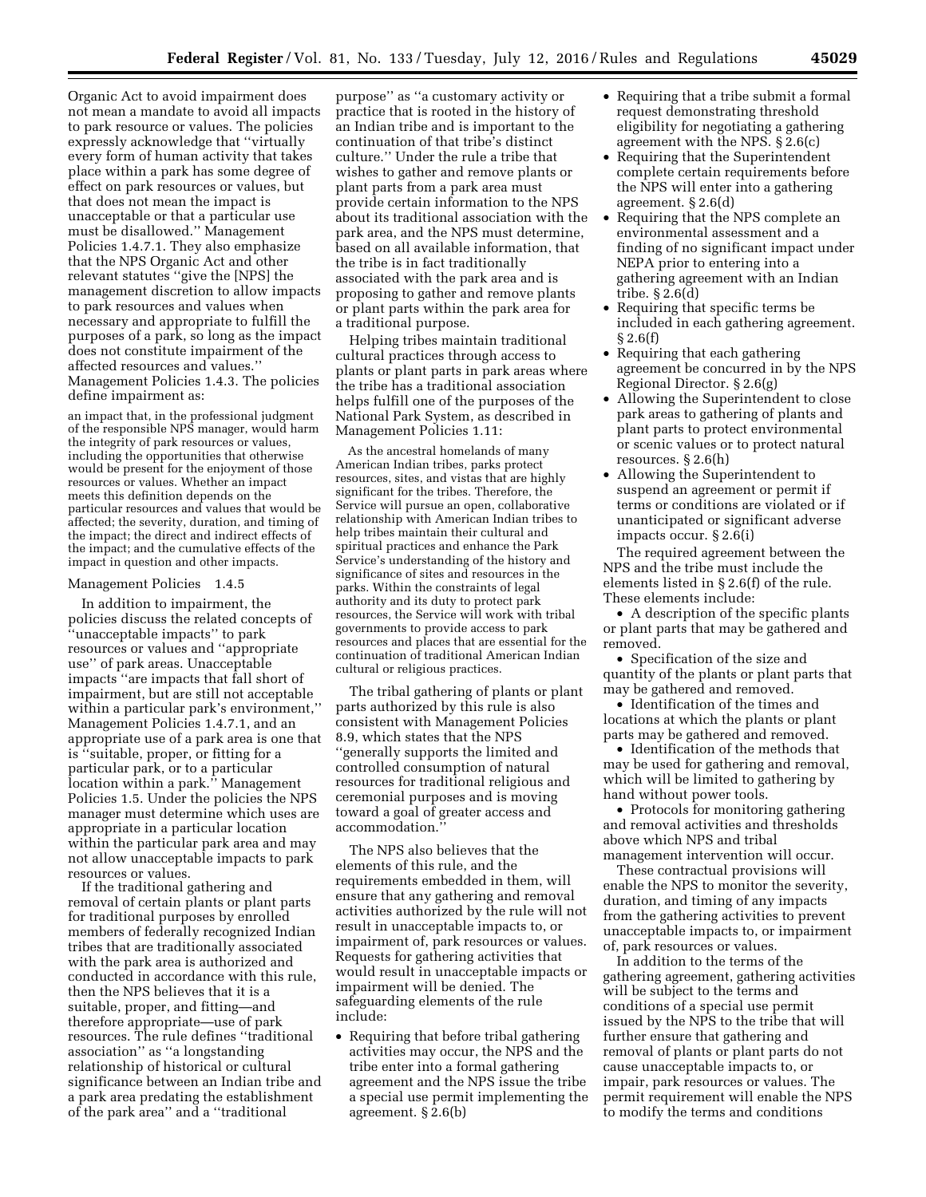Organic Act to avoid impairment does not mean a mandate to avoid all impacts to park resource or values. The policies expressly acknowledge that ''virtually every form of human activity that takes place within a park has some degree of effect on park resources or values, but that does not mean the impact is unacceptable or that a particular use must be disallowed.'' Management Policies 1.4.7.1. They also emphasize that the NPS Organic Act and other relevant statutes ''give the [NPS] the management discretion to allow impacts to park resources and values when necessary and appropriate to fulfill the purposes of a park, so long as the impact does not constitute impairment of the affected resources and values.'' Management Policies 1.4.3. The policies define impairment as:

an impact that, in the professional judgment of the responsible NPS manager, would harm the integrity of park resources or values, including the opportunities that otherwise would be present for the enjoyment of those resources or values. Whether an impact meets this definition depends on the particular resources and values that would be affected; the severity, duration, and timing of the impact; the direct and indirect effects of the impact; and the cumulative effects of the impact in question and other impacts.

#### Management Policies 1.4.5

In addition to impairment, the policies discuss the related concepts of ''unacceptable impacts'' to park resources or values and ''appropriate use'' of park areas. Unacceptable impacts ''are impacts that fall short of impairment, but are still not acceptable within a particular park's environment,'' Management Policies 1.4.7.1, and an appropriate use of a park area is one that is ''suitable, proper, or fitting for a particular park, or to a particular location within a park.'' Management Policies 1.5. Under the policies the NPS manager must determine which uses are appropriate in a particular location within the particular park area and may not allow unacceptable impacts to park resources or values.

If the traditional gathering and removal of certain plants or plant parts for traditional purposes by enrolled members of federally recognized Indian tribes that are traditionally associated with the park area is authorized and conducted in accordance with this rule, then the NPS believes that it is a suitable, proper, and fitting—and therefore appropriate—use of park resources. The rule defines ''traditional association'' as ''a longstanding relationship of historical or cultural significance between an Indian tribe and a park area predating the establishment of the park area'' and a ''traditional

purpose'' as ''a customary activity or practice that is rooted in the history of an Indian tribe and is important to the continuation of that tribe's distinct culture.'' Under the rule a tribe that wishes to gather and remove plants or plant parts from a park area must provide certain information to the NPS about its traditional association with the park area, and the NPS must determine, based on all available information, that the tribe is in fact traditionally associated with the park area and is proposing to gather and remove plants or plant parts within the park area for a traditional purpose.

Helping tribes maintain traditional cultural practices through access to plants or plant parts in park areas where the tribe has a traditional association helps fulfill one of the purposes of the National Park System, as described in Management Policies 1.11:

As the ancestral homelands of many American Indian tribes, parks protect resources, sites, and vistas that are highly significant for the tribes. Therefore, the Service will pursue an open, collaborative relationship with American Indian tribes to help tribes maintain their cultural and spiritual practices and enhance the Park Service's understanding of the history and significance of sites and resources in the parks. Within the constraints of legal authority and its duty to protect park resources, the Service will work with tribal governments to provide access to park resources and places that are essential for the continuation of traditional American Indian cultural or religious practices.

The tribal gathering of plants or plant parts authorized by this rule is also consistent with Management Policies 8.9, which states that the NPS ''generally supports the limited and controlled consumption of natural resources for traditional religious and ceremonial purposes and is moving toward a goal of greater access and accommodation.''

The NPS also believes that the elements of this rule, and the requirements embedded in them, will ensure that any gathering and removal activities authorized by the rule will not result in unacceptable impacts to, or impairment of, park resources or values. Requests for gathering activities that would result in unacceptable impacts or impairment will be denied. The safeguarding elements of the rule include:

• Requiring that before tribal gathering activities may occur, the NPS and the tribe enter into a formal gathering agreement and the NPS issue the tribe a special use permit implementing the agreement. § 2.6(b)

- Requiring that a tribe submit a formal request demonstrating threshold eligibility for negotiating a gathering agreement with the NPS. § 2.6(c)
- Requiring that the Superintendent complete certain requirements before the NPS will enter into a gathering agreement. § 2.6(d)
- Requiring that the NPS complete an environmental assessment and a finding of no significant impact under NEPA prior to entering into a gathering agreement with an Indian tribe. § 2.6(d)
- Requiring that specific terms be included in each gathering agreement. § 2.6(f)
- Requiring that each gathering agreement be concurred in by the NPS Regional Director. § 2.6(g)
- Allowing the Superintendent to close park areas to gathering of plants and plant parts to protect environmental or scenic values or to protect natural resources. § 2.6(h)
- Allowing the Superintendent to suspend an agreement or permit if terms or conditions are violated or if unanticipated or significant adverse impacts occur. § 2.6(i)

The required agreement between the NPS and the tribe must include the elements listed in § 2.6(f) of the rule. These elements include:

• A description of the specific plants or plant parts that may be gathered and removed.

• Specification of the size and quantity of the plants or plant parts that may be gathered and removed.

• Identification of the times and locations at which the plants or plant parts may be gathered and removed.

• Identification of the methods that may be used for gathering and removal, which will be limited to gathering by hand without power tools.

• Protocols for monitoring gathering and removal activities and thresholds above which NPS and tribal management intervention will occur.

These contractual provisions will enable the NPS to monitor the severity, duration, and timing of any impacts from the gathering activities to prevent unacceptable impacts to, or impairment of, park resources or values.

In addition to the terms of the gathering agreement, gathering activities will be subject to the terms and conditions of a special use permit issued by the NPS to the tribe that will further ensure that gathering and removal of plants or plant parts do not cause unacceptable impacts to, or impair, park resources or values. The permit requirement will enable the NPS to modify the terms and conditions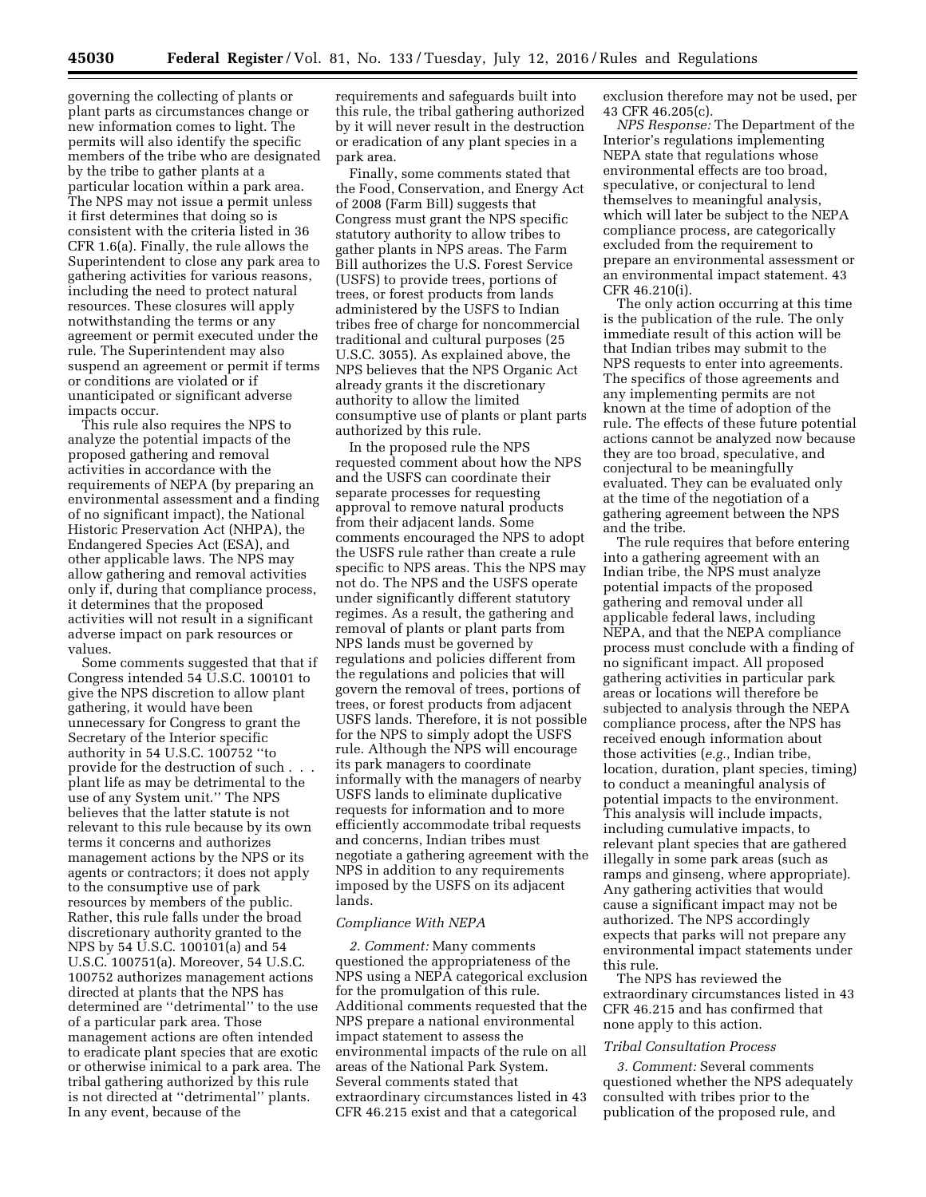governing the collecting of plants or plant parts as circumstances change or new information comes to light. The permits will also identify the specific members of the tribe who are designated by the tribe to gather plants at a particular location within a park area. The NPS may not issue a permit unless it first determines that doing so is consistent with the criteria listed in 36 CFR 1.6(a). Finally, the rule allows the Superintendent to close any park area to gathering activities for various reasons, including the need to protect natural resources. These closures will apply notwithstanding the terms or any agreement or permit executed under the rule. The Superintendent may also suspend an agreement or permit if terms or conditions are violated or if unanticipated or significant adverse impacts occur.

This rule also requires the NPS to analyze the potential impacts of the proposed gathering and removal activities in accordance with the requirements of NEPA (by preparing an environmental assessment and a finding of no significant impact), the National Historic Preservation Act (NHPA), the Endangered Species Act (ESA), and other applicable laws. The NPS may allow gathering and removal activities only if, during that compliance process, it determines that the proposed activities will not result in a significant adverse impact on park resources or values.

Some comments suggested that that if Congress intended 54 U.S.C. 100101 to give the NPS discretion to allow plant gathering, it would have been unnecessary for Congress to grant the Secretary of the Interior specific authority in 54 U.S.C. 100752 ''to provide for the destruction of such . . . plant life as may be detrimental to the use of any System unit.'' The NPS believes that the latter statute is not relevant to this rule because by its own terms it concerns and authorizes management actions by the NPS or its agents or contractors; it does not apply to the consumptive use of park resources by members of the public. Rather, this rule falls under the broad discretionary authority granted to the NPS by 54 U.S.C. 100101(a) and 54 U.S.C. 100751(a). Moreover, 54 U.S.C. 100752 authorizes management actions directed at plants that the NPS has determined are ''detrimental'' to the use of a particular park area. Those management actions are often intended to eradicate plant species that are exotic or otherwise inimical to a park area. The tribal gathering authorized by this rule is not directed at ''detrimental'' plants. In any event, because of the

requirements and safeguards built into this rule, the tribal gathering authorized by it will never result in the destruction or eradication of any plant species in a park area.

Finally, some comments stated that the Food, Conservation, and Energy Act of 2008 (Farm Bill) suggests that Congress must grant the NPS specific statutory authority to allow tribes to gather plants in NPS areas. The Farm Bill authorizes the U.S. Forest Service (USFS) to provide trees, portions of trees, or forest products from lands administered by the USFS to Indian tribes free of charge for noncommercial traditional and cultural purposes (25 U.S.C. 3055). As explained above, the NPS believes that the NPS Organic Act already grants it the discretionary authority to allow the limited consumptive use of plants or plant parts authorized by this rule.

In the proposed rule the NPS requested comment about how the NPS and the USFS can coordinate their separate processes for requesting approval to remove natural products from their adjacent lands. Some comments encouraged the NPS to adopt the USFS rule rather than create a rule specific to NPS areas. This the NPS may not do. The NPS and the USFS operate under significantly different statutory regimes. As a result, the gathering and removal of plants or plant parts from NPS lands must be governed by regulations and policies different from the regulations and policies that will govern the removal of trees, portions of trees, or forest products from adjacent USFS lands. Therefore, it is not possible for the NPS to simply adopt the USFS rule. Although the NPS will encourage its park managers to coordinate informally with the managers of nearby USFS lands to eliminate duplicative requests for information and to more efficiently accommodate tribal requests and concerns, Indian tribes must negotiate a gathering agreement with the NPS in addition to any requirements imposed by the USFS on its adjacent lands.

#### *Compliance With NEPA*

*2. Comment:* Many comments questioned the appropriateness of the NPS using a NEPA categorical exclusion for the promulgation of this rule. Additional comments requested that the NPS prepare a national environmental impact statement to assess the environmental impacts of the rule on all areas of the National Park System. Several comments stated that extraordinary circumstances listed in 43 CFR 46.215 exist and that a categorical

exclusion therefore may not be used, per 43 CFR 46.205(c).

*NPS Response:* The Department of the Interior's regulations implementing NEPA state that regulations whose environmental effects are too broad, speculative, or conjectural to lend themselves to meaningful analysis, which will later be subject to the NEPA compliance process, are categorically excluded from the requirement to prepare an environmental assessment or an environmental impact statement. 43 CFR 46.210(i).

The only action occurring at this time is the publication of the rule. The only immediate result of this action will be that Indian tribes may submit to the NPS requests to enter into agreements. The specifics of those agreements and any implementing permits are not known at the time of adoption of the rule. The effects of these future potential actions cannot be analyzed now because they are too broad, speculative, and conjectural to be meaningfully evaluated. They can be evaluated only at the time of the negotiation of a gathering agreement between the NPS and the tribe.

The rule requires that before entering into a gathering agreement with an Indian tribe, the NPS must analyze potential impacts of the proposed gathering and removal under all applicable federal laws, including NEPA, and that the NEPA compliance process must conclude with a finding of no significant impact. All proposed gathering activities in particular park areas or locations will therefore be subjected to analysis through the NEPA compliance process, after the NPS has received enough information about those activities (*e.g.,* Indian tribe, location, duration, plant species, timing) to conduct a meaningful analysis of potential impacts to the environment. This analysis will include impacts, including cumulative impacts, to relevant plant species that are gathered illegally in some park areas (such as ramps and ginseng, where appropriate). Any gathering activities that would cause a significant impact may not be authorized. The NPS accordingly expects that parks will not prepare any environmental impact statements under this rule.

The NPS has reviewed the extraordinary circumstances listed in 43 CFR 46.215 and has confirmed that none apply to this action.

### *Tribal Consultation Process*

*3. Comment:* Several comments questioned whether the NPS adequately consulted with tribes prior to the publication of the proposed rule, and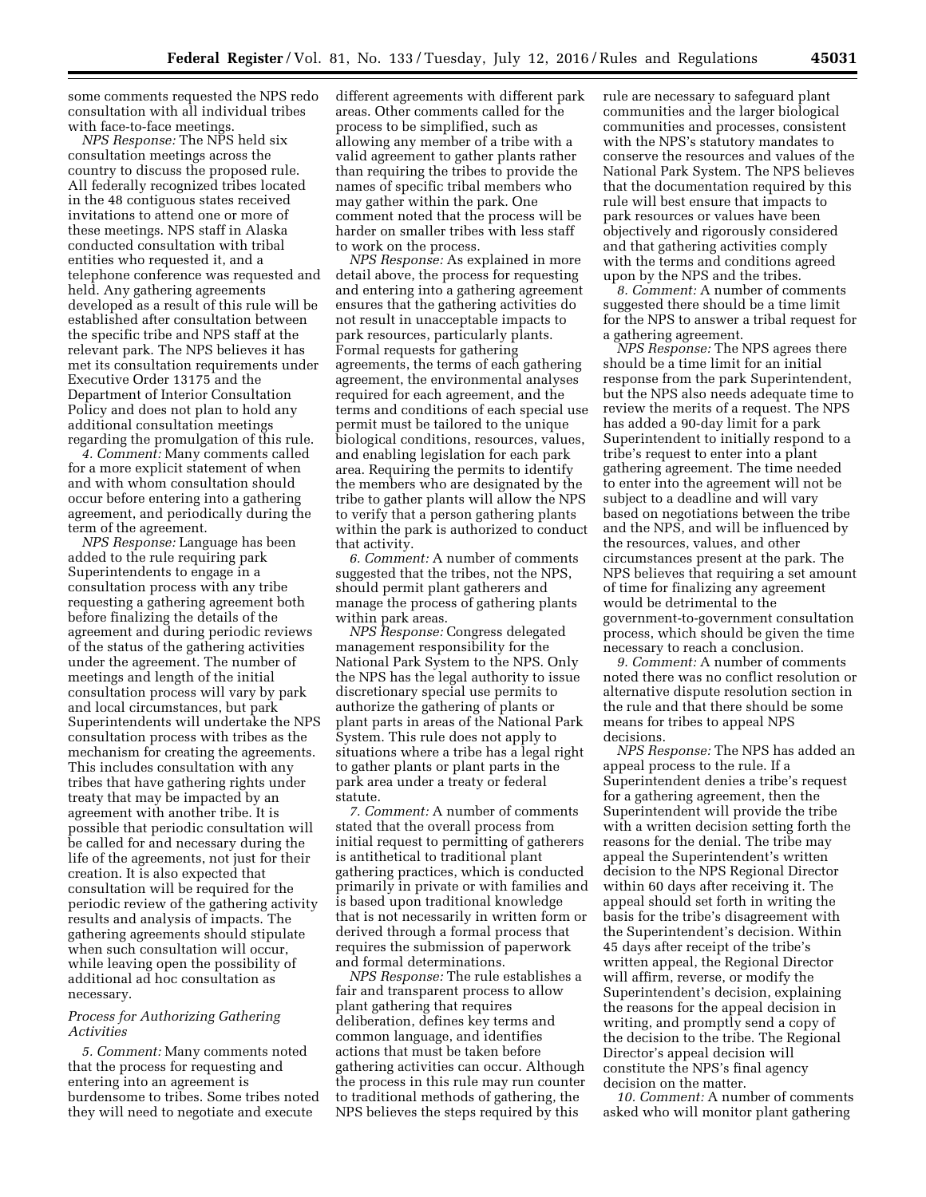some comments requested the NPS redo consultation with all individual tribes with face-to-face meetings.

*NPS Response:* The NPS held six consultation meetings across the country to discuss the proposed rule. All federally recognized tribes located in the 48 contiguous states received invitations to attend one or more of these meetings. NPS staff in Alaska conducted consultation with tribal entities who requested it, and a telephone conference was requested and held. Any gathering agreements developed as a result of this rule will be established after consultation between the specific tribe and NPS staff at the relevant park. The NPS believes it has met its consultation requirements under Executive Order 13175 and the Department of Interior Consultation Policy and does not plan to hold any additional consultation meetings regarding the promulgation of this rule.

*4. Comment:* Many comments called for a more explicit statement of when and with whom consultation should occur before entering into a gathering agreement, and periodically during the term of the agreement.

*NPS Response:* Language has been added to the rule requiring park Superintendents to engage in a consultation process with any tribe requesting a gathering agreement both before finalizing the details of the agreement and during periodic reviews of the status of the gathering activities under the agreement. The number of meetings and length of the initial consultation process will vary by park and local circumstances, but park Superintendents will undertake the NPS consultation process with tribes as the mechanism for creating the agreements. This includes consultation with any tribes that have gathering rights under treaty that may be impacted by an agreement with another tribe. It is possible that periodic consultation will be called for and necessary during the life of the agreements, not just for their creation. It is also expected that consultation will be required for the periodic review of the gathering activity results and analysis of impacts. The gathering agreements should stipulate when such consultation will occur, while leaving open the possibility of additional ad hoc consultation as necessary.

### *Process for Authorizing Gathering Activities*

*5. Comment:* Many comments noted that the process for requesting and entering into an agreement is burdensome to tribes. Some tribes noted they will need to negotiate and execute

different agreements with different park areas. Other comments called for the process to be simplified, such as allowing any member of a tribe with a valid agreement to gather plants rather than requiring the tribes to provide the names of specific tribal members who may gather within the park. One comment noted that the process will be harder on smaller tribes with less staff to work on the process.

*NPS Response:* As explained in more detail above, the process for requesting and entering into a gathering agreement ensures that the gathering activities do not result in unacceptable impacts to park resources, particularly plants. Formal requests for gathering agreements, the terms of each gathering agreement, the environmental analyses required for each agreement, and the terms and conditions of each special use permit must be tailored to the unique biological conditions, resources, values, and enabling legislation for each park area. Requiring the permits to identify the members who are designated by the tribe to gather plants will allow the NPS to verify that a person gathering plants within the park is authorized to conduct that activity.

*6. Comment:* A number of comments suggested that the tribes, not the NPS, should permit plant gatherers and manage the process of gathering plants within park areas.

*NPS Response:* Congress delegated management responsibility for the National Park System to the NPS. Only the NPS has the legal authority to issue discretionary special use permits to authorize the gathering of plants or plant parts in areas of the National Park System. This rule does not apply to situations where a tribe has a legal right to gather plants or plant parts in the park area under a treaty or federal statute.

*7. Comment:* A number of comments stated that the overall process from initial request to permitting of gatherers is antithetical to traditional plant gathering practices, which is conducted primarily in private or with families and is based upon traditional knowledge that is not necessarily in written form or derived through a formal process that requires the submission of paperwork and formal determinations.

*NPS Response:* The rule establishes a fair and transparent process to allow plant gathering that requires deliberation, defines key terms and common language, and identifies actions that must be taken before gathering activities can occur. Although the process in this rule may run counter to traditional methods of gathering, the NPS believes the steps required by this

rule are necessary to safeguard plant communities and the larger biological communities and processes, consistent with the NPS's statutory mandates to conserve the resources and values of the National Park System. The NPS believes that the documentation required by this rule will best ensure that impacts to park resources or values have been objectively and rigorously considered and that gathering activities comply with the terms and conditions agreed upon by the NPS and the tribes.

*8. Comment:* A number of comments suggested there should be a time limit for the NPS to answer a tribal request for a gathering agreement.

*NPS Response:* The NPS agrees there should be a time limit for an initial response from the park Superintendent, but the NPS also needs adequate time to review the merits of a request. The NPS has added a 90-day limit for a park Superintendent to initially respond to a tribe's request to enter into a plant gathering agreement. The time needed to enter into the agreement will not be subject to a deadline and will vary based on negotiations between the tribe and the NPS, and will be influenced by the resources, values, and other circumstances present at the park. The NPS believes that requiring a set amount of time for finalizing any agreement would be detrimental to the government-to-government consultation process, which should be given the time necessary to reach a conclusion.

*9. Comment:* A number of comments noted there was no conflict resolution or alternative dispute resolution section in the rule and that there should be some means for tribes to appeal NPS decisions.

*NPS Response:* The NPS has added an appeal process to the rule. If a Superintendent denies a tribe's request for a gathering agreement, then the Superintendent will provide the tribe with a written decision setting forth the reasons for the denial. The tribe may appeal the Superintendent's written decision to the NPS Regional Director within 60 days after receiving it. The appeal should set forth in writing the basis for the tribe's disagreement with the Superintendent's decision. Within 45 days after receipt of the tribe's written appeal, the Regional Director will affirm, reverse, or modify the Superintendent's decision, explaining the reasons for the appeal decision in writing, and promptly send a copy of the decision to the tribe. The Regional Director's appeal decision will constitute the NPS's final agency decision on the matter.

*10. Comment:* A number of comments asked who will monitor plant gathering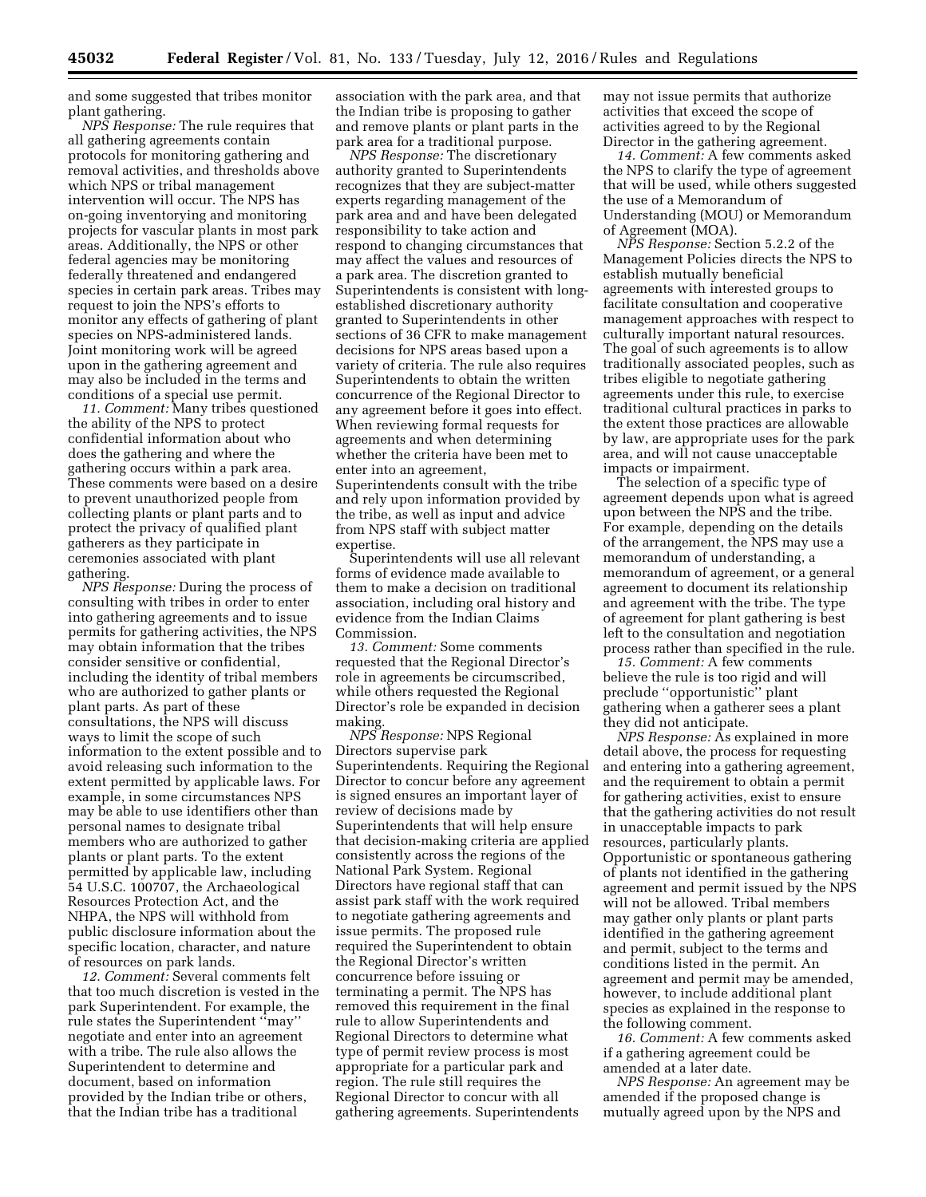and some suggested that tribes monitor plant gathering.

*NPS Response:* The rule requires that all gathering agreements contain protocols for monitoring gathering and removal activities, and thresholds above which NPS or tribal management intervention will occur. The NPS has on-going inventorying and monitoring projects for vascular plants in most park areas. Additionally, the NPS or other federal agencies may be monitoring federally threatened and endangered species in certain park areas. Tribes may request to join the NPS's efforts to monitor any effects of gathering of plant species on NPS-administered lands. Joint monitoring work will be agreed upon in the gathering agreement and may also be included in the terms and conditions of a special use permit.

*11. Comment:* Many tribes questioned the ability of the NPS to protect confidential information about who does the gathering and where the gathering occurs within a park area. These comments were based on a desire to prevent unauthorized people from collecting plants or plant parts and to protect the privacy of qualified plant gatherers as they participate in ceremonies associated with plant gathering.

*NPS Response:* During the process of consulting with tribes in order to enter into gathering agreements and to issue permits for gathering activities, the NPS may obtain information that the tribes consider sensitive or confidential, including the identity of tribal members who are authorized to gather plants or plant parts. As part of these consultations, the NPS will discuss ways to limit the scope of such information to the extent possible and to avoid releasing such information to the extent permitted by applicable laws. For example, in some circumstances NPS may be able to use identifiers other than personal names to designate tribal members who are authorized to gather plants or plant parts. To the extent permitted by applicable law, including 54 U.S.C. 100707, the Archaeological Resources Protection Act, and the NHPA, the NPS will withhold from public disclosure information about the specific location, character, and nature of resources on park lands.

*12. Comment:* Several comments felt that too much discretion is vested in the park Superintendent. For example, the rule states the Superintendent ''may'' negotiate and enter into an agreement with a tribe. The rule also allows the Superintendent to determine and document, based on information provided by the Indian tribe or others, that the Indian tribe has a traditional

association with the park area, and that the Indian tribe is proposing to gather and remove plants or plant parts in the park area for a traditional purpose.

*NPS Response:* The discretionary authority granted to Superintendents recognizes that they are subject-matter experts regarding management of the park area and and have been delegated responsibility to take action and respond to changing circumstances that may affect the values and resources of a park area. The discretion granted to Superintendents is consistent with longestablished discretionary authority granted to Superintendents in other sections of 36 CFR to make management decisions for NPS areas based upon a variety of criteria. The rule also requires Superintendents to obtain the written concurrence of the Regional Director to any agreement before it goes into effect. When reviewing formal requests for agreements and when determining whether the criteria have been met to enter into an agreement, Superintendents consult with the tribe and rely upon information provided by the tribe, as well as input and advice from NPS staff with subject matter expertise.

Superintendents will use all relevant forms of evidence made available to them to make a decision on traditional association, including oral history and evidence from the Indian Claims Commission.

*13. Comment:* Some comments requested that the Regional Director's role in agreements be circumscribed, while others requested the Regional Director's role be expanded in decision making.

*NPS Response:* NPS Regional Directors supervise park Superintendents. Requiring the Regional Director to concur before any agreement is signed ensures an important layer of review of decisions made by Superintendents that will help ensure that decision-making criteria are applied consistently across the regions of the National Park System. Regional Directors have regional staff that can assist park staff with the work required to negotiate gathering agreements and issue permits. The proposed rule required the Superintendent to obtain the Regional Director's written concurrence before issuing or terminating a permit. The NPS has removed this requirement in the final rule to allow Superintendents and Regional Directors to determine what type of permit review process is most appropriate for a particular park and region. The rule still requires the Regional Director to concur with all gathering agreements. Superintendents

may not issue permits that authorize activities that exceed the scope of activities agreed to by the Regional Director in the gathering agreement.

*14. Comment:* A few comments asked the NPS to clarify the type of agreement that will be used, while others suggested the use of a Memorandum of Understanding (MOU) or Memorandum of Agreement (MOA).

*NPS Response:* Section 5.2.2 of the Management Policies directs the NPS to establish mutually beneficial agreements with interested groups to facilitate consultation and cooperative management approaches with respect to culturally important natural resources. The goal of such agreements is to allow traditionally associated peoples, such as tribes eligible to negotiate gathering agreements under this rule, to exercise traditional cultural practices in parks to the extent those practices are allowable by law, are appropriate uses for the park area, and will not cause unacceptable impacts or impairment.

The selection of a specific type of agreement depends upon what is agreed upon between the NPS and the tribe. For example, depending on the details of the arrangement, the NPS may use a memorandum of understanding, a memorandum of agreement, or a general agreement to document its relationship and agreement with the tribe. The type of agreement for plant gathering is best left to the consultation and negotiation process rather than specified in the rule.

*15. Comment:* A few comments believe the rule is too rigid and will preclude ''opportunistic'' plant gathering when a gatherer sees a plant they did not anticipate.

*NPS Response:* As explained in more detail above, the process for requesting and entering into a gathering agreement, and the requirement to obtain a permit for gathering activities, exist to ensure that the gathering activities do not result in unacceptable impacts to park resources, particularly plants. Opportunistic or spontaneous gathering of plants not identified in the gathering agreement and permit issued by the NPS will not be allowed. Tribal members may gather only plants or plant parts identified in the gathering agreement and permit, subject to the terms and conditions listed in the permit. An agreement and permit may be amended, however, to include additional plant species as explained in the response to the following comment.

*16. Comment:* A few comments asked if a gathering agreement could be amended at a later date.

*NPS Response:* An agreement may be amended if the proposed change is mutually agreed upon by the NPS and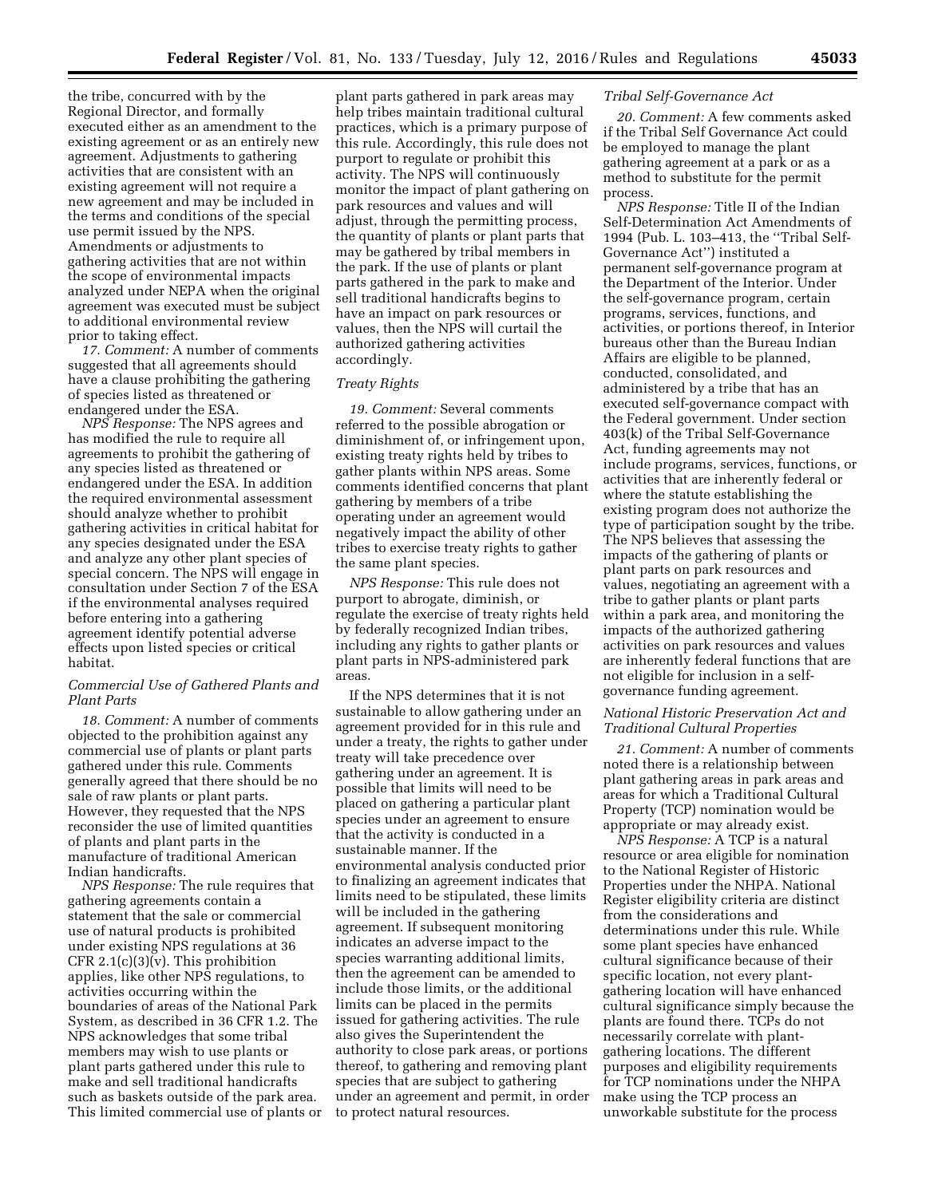the tribe, concurred with by the Regional Director, and formally executed either as an amendment to the existing agreement or as an entirely new agreement. Adjustments to gathering activities that are consistent with an existing agreement will not require a new agreement and may be included in the terms and conditions of the special use permit issued by the NPS. Amendments or adjustments to gathering activities that are not within the scope of environmental impacts analyzed under NEPA when the original agreement was executed must be subject to additional environmental review prior to taking effect.

*17. Comment:* A number of comments suggested that all agreements should have a clause prohibiting the gathering of species listed as threatened or endangered under the ESA.

*NPS Response:* The NPS agrees and has modified the rule to require all agreements to prohibit the gathering of any species listed as threatened or endangered under the ESA. In addition the required environmental assessment should analyze whether to prohibit gathering activities in critical habitat for any species designated under the ESA and analyze any other plant species of special concern. The NPS will engage in consultation under Section 7 of the ESA if the environmental analyses required before entering into a gathering agreement identify potential adverse effects upon listed species or critical habitat.

## *Commercial Use of Gathered Plants and Plant Parts*

*18. Comment:* A number of comments objected to the prohibition against any commercial use of plants or plant parts gathered under this rule. Comments generally agreed that there should be no sale of raw plants or plant parts. However, they requested that the NPS reconsider the use of limited quantities of plants and plant parts in the manufacture of traditional American Indian handicrafts.

*NPS Response:* The rule requires that gathering agreements contain a statement that the sale or commercial use of natural products is prohibited under existing NPS regulations at 36 CFR  $2.1(c)(3)(v)$ . This prohibition applies, like other NPS regulations, to activities occurring within the boundaries of areas of the National Park System, as described in 36 CFR 1.2. The NPS acknowledges that some tribal members may wish to use plants or plant parts gathered under this rule to make and sell traditional handicrafts such as baskets outside of the park area. This limited commercial use of plants or

plant parts gathered in park areas may help tribes maintain traditional cultural practices, which is a primary purpose of this rule. Accordingly, this rule does not purport to regulate or prohibit this activity. The NPS will continuously monitor the impact of plant gathering on park resources and values and will adjust, through the permitting process, the quantity of plants or plant parts that may be gathered by tribal members in the park. If the use of plants or plant parts gathered in the park to make and sell traditional handicrafts begins to have an impact on park resources or values, then the NPS will curtail the authorized gathering activities accordingly.

#### *Treaty Rights*

*19. Comment:* Several comments referred to the possible abrogation or diminishment of, or infringement upon, existing treaty rights held by tribes to gather plants within NPS areas. Some comments identified concerns that plant gathering by members of a tribe operating under an agreement would negatively impact the ability of other tribes to exercise treaty rights to gather the same plant species.

*NPS Response:* This rule does not purport to abrogate, diminish, or regulate the exercise of treaty rights held by federally recognized Indian tribes, including any rights to gather plants or plant parts in NPS-administered park areas.

If the NPS determines that it is not sustainable to allow gathering under an agreement provided for in this rule and under a treaty, the rights to gather under treaty will take precedence over gathering under an agreement. It is possible that limits will need to be placed on gathering a particular plant species under an agreement to ensure that the activity is conducted in a sustainable manner. If the environmental analysis conducted prior to finalizing an agreement indicates that limits need to be stipulated, these limits will be included in the gathering agreement. If subsequent monitoring indicates an adverse impact to the species warranting additional limits, then the agreement can be amended to include those limits, or the additional limits can be placed in the permits issued for gathering activities. The rule also gives the Superintendent the authority to close park areas, or portions thereof, to gathering and removing plant species that are subject to gathering under an agreement and permit, in order to protect natural resources.

### *Tribal Self-Governance Act*

*20. Comment:* A few comments asked if the Tribal Self Governance Act could be employed to manage the plant gathering agreement at a park or as a method to substitute for the permit process.

*NPS Response:* Title II of the Indian Self-Determination Act Amendments of 1994 (Pub. L. 103–413, the ''Tribal Self-Governance Act'') instituted a permanent self-governance program at the Department of the Interior. Under the self-governance program, certain programs, services, functions, and activities, or portions thereof, in Interior bureaus other than the Bureau Indian Affairs are eligible to be planned, conducted, consolidated, and administered by a tribe that has an executed self-governance compact with the Federal government. Under section 403(k) of the Tribal Self-Governance Act, funding agreements may not include programs, services, functions, or activities that are inherently federal or where the statute establishing the existing program does not authorize the type of participation sought by the tribe. The NPS believes that assessing the impacts of the gathering of plants or plant parts on park resources and values, negotiating an agreement with a tribe to gather plants or plant parts within a park area, and monitoring the impacts of the authorized gathering activities on park resources and values are inherently federal functions that are not eligible for inclusion in a selfgovernance funding agreement.

### *National Historic Preservation Act and Traditional Cultural Properties*

*21. Comment:* A number of comments noted there is a relationship between plant gathering areas in park areas and areas for which a Traditional Cultural Property (TCP) nomination would be appropriate or may already exist.

*NPS Response:* A TCP is a natural resource or area eligible for nomination to the National Register of Historic Properties under the NHPA. National Register eligibility criteria are distinct from the considerations and determinations under this rule. While some plant species have enhanced cultural significance because of their specific location, not every plantgathering location will have enhanced cultural significance simply because the plants are found there. TCPs do not necessarily correlate with plantgathering locations. The different purposes and eligibility requirements for TCP nominations under the NHPA make using the TCP process an unworkable substitute for the process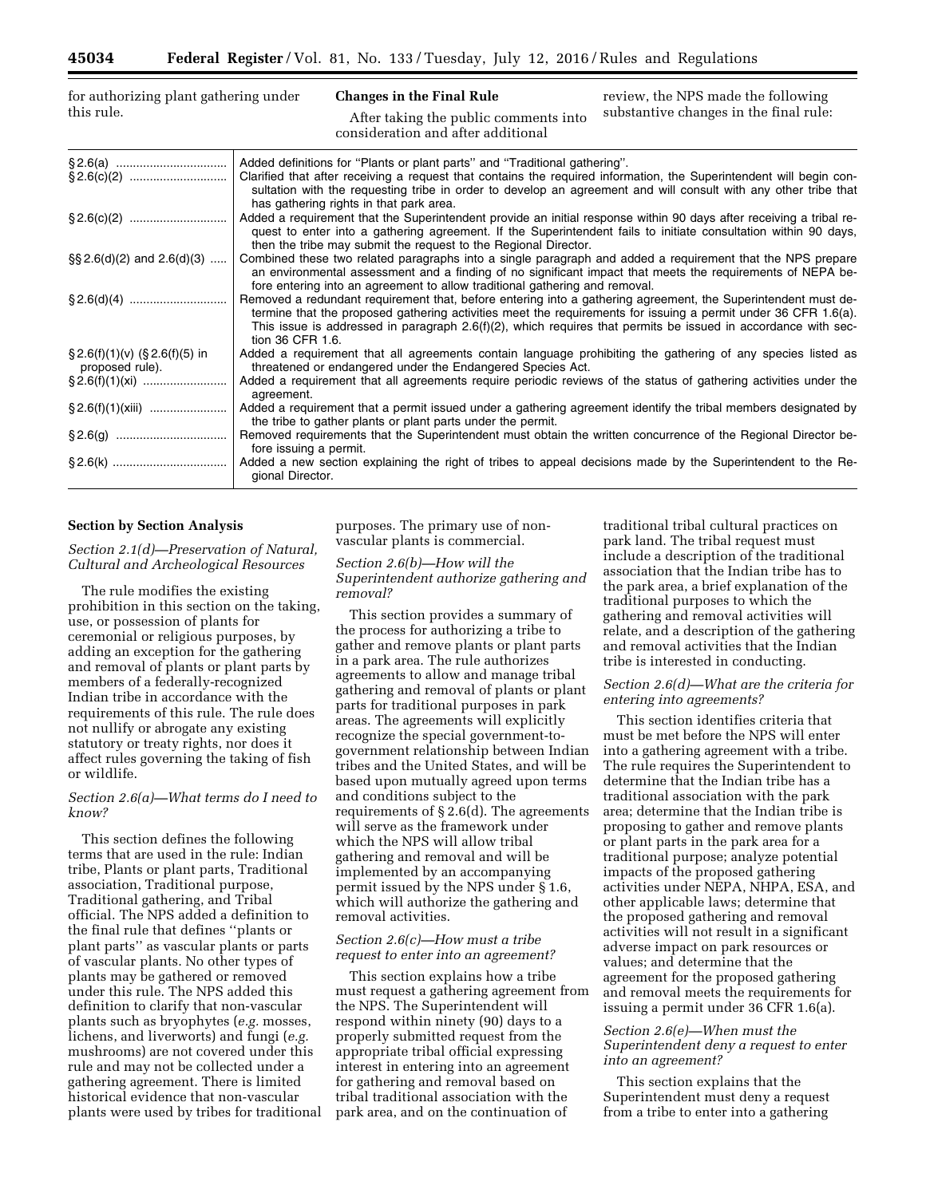| for authorizing plant gathering under |  |
|---------------------------------------|--|
| this rule.                            |  |

**Changes in the Final Rule**  After taking the public comments into consideration and after additional

review, the NPS made the following substantive changes in the final rule:

|                                                      | Added definitions for "Plants or plant parts" and "Traditional gathering".                                                                                                                                                                                                                                                                                              |
|------------------------------------------------------|-------------------------------------------------------------------------------------------------------------------------------------------------------------------------------------------------------------------------------------------------------------------------------------------------------------------------------------------------------------------------|
|                                                      | Clarified that after receiving a request that contains the required information, the Superintendent will begin con-<br>sultation with the requesting tribe in order to develop an agreement and will consult with any other tribe that<br>has gathering rights in that park area.                                                                                       |
|                                                      | Added a requirement that the Superintendent provide an initial response within 90 days after receiving a tribal re-<br>quest to enter into a gathering agreement. If the Superintendent fails to initiate consultation within 90 days,<br>then the tribe may submit the request to the Regional Director.                                                               |
| $\S\S 2.6(d)(2)$ and $2.6(d)(3)$                     | Combined these two related paragraphs into a single paragraph and added a requirement that the NPS prepare<br>an environmental assessment and a finding of no significant impact that meets the requirements of NEPA be-<br>fore entering into an agreement to allow traditional gathering and removal.                                                                 |
|                                                      | Removed a redundant requirement that, before entering into a gathering agreement, the Superintendent must de-<br>termine that the proposed gathering activities meet the requirements for issuing a permit under 36 CFR 1.6(a).<br>This issue is addressed in paragraph $2.6(f)(2)$ , which requires that permits be issued in accordance with sec-<br>tion 36 CFR 1.6. |
| $\S 2.6(f)(1)(v)$ (§ 2.6(f)(5) in<br>proposed rule). | Added a requirement that all agreements contain language prohibiting the gathering of any species listed as<br>threatened or endangered under the Endangered Species Act.                                                                                                                                                                                               |
|                                                      | Added a requirement that all agreements require periodic reviews of the status of gathering activities under the<br>agreement.                                                                                                                                                                                                                                          |
|                                                      | Added a requirement that a permit issued under a gathering agreement identify the tribal members designated by<br>the tribe to gather plants or plant parts under the permit.                                                                                                                                                                                           |
|                                                      | Removed requirements that the Superintendent must obtain the written concurrence of the Regional Director be-<br>fore issuing a permit.                                                                                                                                                                                                                                 |
|                                                      | Added a new section explaining the right of tribes to appeal decisions made by the Superintendent to the Re-<br>gional Director.                                                                                                                                                                                                                                        |

#### **Section by Section Analysis**

*Section 2.1(d)—Preservation of Natural, Cultural and Archeological Resources* 

The rule modifies the existing prohibition in this section on the taking, use, or possession of plants for ceremonial or religious purposes, by adding an exception for the gathering and removal of plants or plant parts by members of a federally-recognized Indian tribe in accordance with the requirements of this rule. The rule does not nullify or abrogate any existing statutory or treaty rights, nor does it affect rules governing the taking of fish or wildlife.

### *Section 2.6(a)—What terms do I need to know?*

This section defines the following terms that are used in the rule: Indian tribe, Plants or plant parts, Traditional association, Traditional purpose, Traditional gathering, and Tribal official. The NPS added a definition to the final rule that defines ''plants or plant parts'' as vascular plants or parts of vascular plants. No other types of plants may be gathered or removed under this rule. The NPS added this definition to clarify that non-vascular plants such as bryophytes (*e.g.* mosses, lichens, and liverworts) and fungi (*e.g.*  mushrooms) are not covered under this rule and may not be collected under a gathering agreement. There is limited historical evidence that non-vascular plants were used by tribes for traditional purposes. The primary use of nonvascular plants is commercial.

### *Section 2.6(b)—How will the Superintendent authorize gathering and removal?*

This section provides a summary of the process for authorizing a tribe to gather and remove plants or plant parts in a park area. The rule authorizes agreements to allow and manage tribal gathering and removal of plants or plant parts for traditional purposes in park areas. The agreements will explicitly recognize the special government-togovernment relationship between Indian tribes and the United States, and will be based upon mutually agreed upon terms and conditions subject to the requirements of § 2.6(d). The agreements will serve as the framework under which the NPS will allow tribal gathering and removal and will be implemented by an accompanying permit issued by the NPS under § 1.6, which will authorize the gathering and removal activities.

#### *Section 2.6(c)—How must a tribe request to enter into an agreement?*

This section explains how a tribe must request a gathering agreement from the NPS. The Superintendent will respond within ninety (90) days to a properly submitted request from the appropriate tribal official expressing interest in entering into an agreement for gathering and removal based on tribal traditional association with the park area, and on the continuation of

traditional tribal cultural practices on park land. The tribal request must include a description of the traditional association that the Indian tribe has to the park area, a brief explanation of the traditional purposes to which the gathering and removal activities will relate, and a description of the gathering and removal activities that the Indian tribe is interested in conducting.

#### *Section 2.6(d)—What are the criteria for entering into agreements?*

This section identifies criteria that must be met before the NPS will enter into a gathering agreement with a tribe. The rule requires the Superintendent to determine that the Indian tribe has a traditional association with the park area; determine that the Indian tribe is proposing to gather and remove plants or plant parts in the park area for a traditional purpose; analyze potential impacts of the proposed gathering activities under NEPA, NHPA, ESA, and other applicable laws; determine that the proposed gathering and removal activities will not result in a significant adverse impact on park resources or values; and determine that the agreement for the proposed gathering and removal meets the requirements for issuing a permit under 36 CFR 1.6(a).

## *Section 2.6(e)—When must the Superintendent deny a request to enter into an agreement?*

This section explains that the Superintendent must deny a request from a tribe to enter into a gathering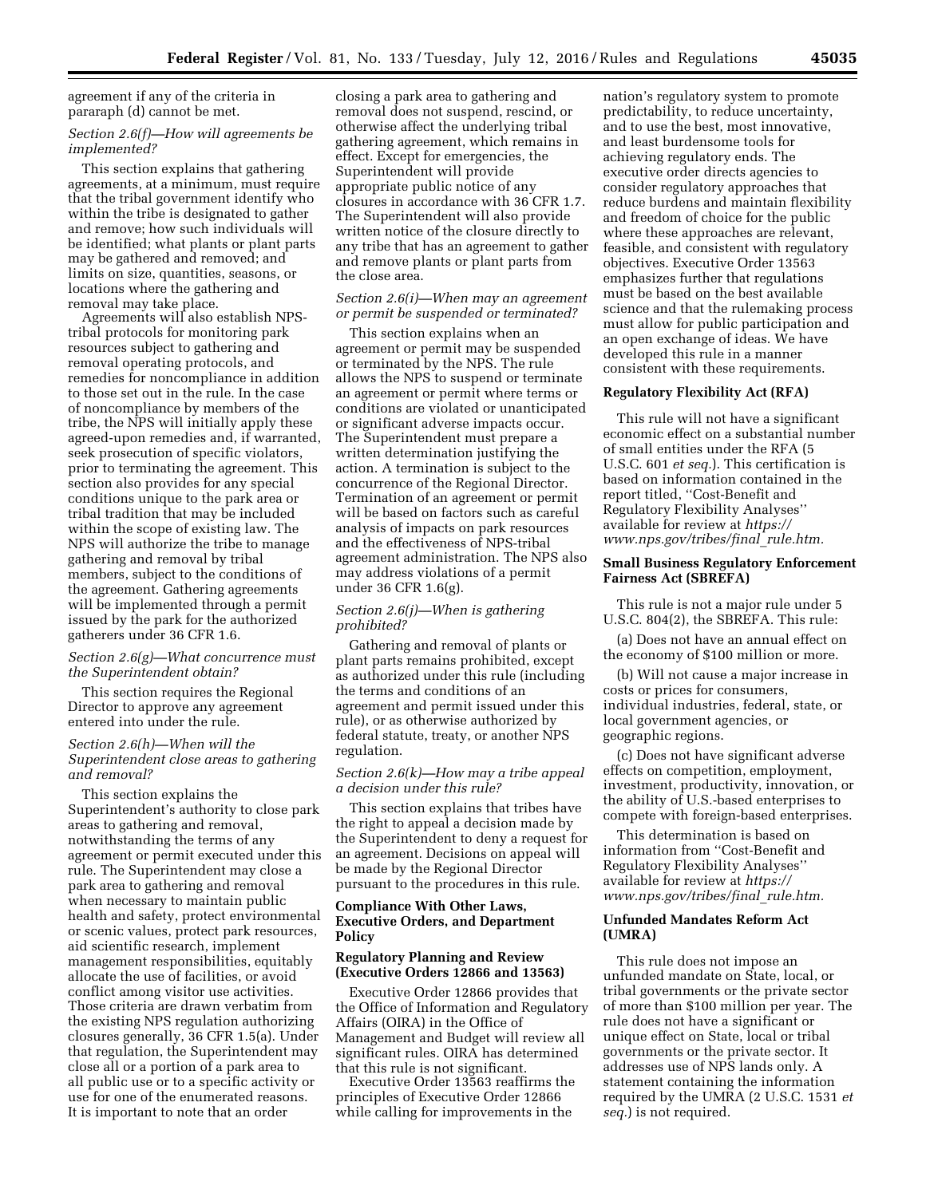agreement if any of the criteria in pararaph (d) cannot be met.

### *Section 2.6(f)—How will agreements be implemented?*

This section explains that gathering agreements, at a minimum, must require that the tribal government identify who within the tribe is designated to gather and remove; how such individuals will be identified; what plants or plant parts may be gathered and removed; and limits on size, quantities, seasons, or locations where the gathering and removal may take place.

Agreements will also establish NPStribal protocols for monitoring park resources subject to gathering and removal operating protocols, and remedies for noncompliance in addition to those set out in the rule. In the case of noncompliance by members of the tribe, the NPS will initially apply these agreed-upon remedies and, if warranted, seek prosecution of specific violators, prior to terminating the agreement. This section also provides for any special conditions unique to the park area or tribal tradition that may be included within the scope of existing law. The NPS will authorize the tribe to manage gathering and removal by tribal members, subject to the conditions of the agreement. Gathering agreements will be implemented through a permit issued by the park for the authorized gatherers under 36 CFR 1.6.

### *Section 2.6(g)—What concurrence must the Superintendent obtain?*

This section requires the Regional Director to approve any agreement entered into under the rule.

### *Section 2.6(h)—When will the Superintendent close areas to gathering and removal?*

This section explains the Superintendent's authority to close park areas to gathering and removal, notwithstanding the terms of any agreement or permit executed under this rule. The Superintendent may close a park area to gathering and removal when necessary to maintain public health and safety, protect environmental or scenic values, protect park resources, aid scientific research, implement management responsibilities, equitably allocate the use of facilities, or avoid conflict among visitor use activities. Those criteria are drawn verbatim from the existing NPS regulation authorizing closures generally, 36 CFR 1.5(a). Under that regulation, the Superintendent may close all or a portion of a park area to all public use or to a specific activity or use for one of the enumerated reasons. It is important to note that an order

closing a park area to gathering and removal does not suspend, rescind, or otherwise affect the underlying tribal gathering agreement, which remains in effect. Except for emergencies, the Superintendent will provide appropriate public notice of any closures in accordance with 36 CFR 1.7. The Superintendent will also provide written notice of the closure directly to any tribe that has an agreement to gather and remove plants or plant parts from the close area.

### *Section 2.6(i)—When may an agreement or permit be suspended or terminated?*

This section explains when an agreement or permit may be suspended or terminated by the NPS. The rule allows the NPS to suspend or terminate an agreement or permit where terms or conditions are violated or unanticipated or significant adverse impacts occur. The Superintendent must prepare a written determination justifying the action. A termination is subject to the concurrence of the Regional Director. Termination of an agreement or permit will be based on factors such as careful analysis of impacts on park resources and the effectiveness of NPS-tribal agreement administration. The NPS also may address violations of a permit under 36 CFR 1.6(g).

## *Section 2.6(j)—When is gathering prohibited?*

Gathering and removal of plants or plant parts remains prohibited, except as authorized under this rule (including the terms and conditions of an agreement and permit issued under this rule), or as otherwise authorized by federal statute, treaty, or another NPS regulation.

### *Section 2.6(k)—How may a tribe appeal a decision under this rule?*

This section explains that tribes have the right to appeal a decision made by the Superintendent to deny a request for an agreement. Decisions on appeal will be made by the Regional Director pursuant to the procedures in this rule.

## **Compliance With Other Laws, Executive Orders, and Department Policy**

#### **Regulatory Planning and Review (Executive Orders 12866 and 13563)**

Executive Order 12866 provides that the Office of Information and Regulatory Affairs (OIRA) in the Office of Management and Budget will review all significant rules. OIRA has determined that this rule is not significant.

Executive Order 13563 reaffirms the principles of Executive Order 12866 while calling for improvements in the

nation's regulatory system to promote predictability, to reduce uncertainty, and to use the best, most innovative, and least burdensome tools for achieving regulatory ends. The executive order directs agencies to consider regulatory approaches that reduce burdens and maintain flexibility and freedom of choice for the public where these approaches are relevant, feasible, and consistent with regulatory objectives. Executive Order 13563 emphasizes further that regulations must be based on the best available science and that the rulemaking process must allow for public participation and an open exchange of ideas. We have developed this rule in a manner consistent with these requirements.

#### **Regulatory Flexibility Act (RFA)**

This rule will not have a significant economic effect on a substantial number of small entities under the RFA (5 U.S.C. 601 *et seq.*). This certification is based on information contained in the report titled, ''Cost-Benefit and Regulatory Flexibility Analyses'' available for review at *[https://](https://www.nps.gov/tribes/final_rule.htm) [www.nps.gov/tribes/final](https://www.nps.gov/tribes/final_rule.htm)*\_*rule.htm.* 

## **Small Business Regulatory Enforcement Fairness Act (SBREFA)**

This rule is not a major rule under 5 U.S.C. 804(2), the SBREFA. This rule:

(a) Does not have an annual effect on the economy of \$100 million or more.

(b) Will not cause a major increase in costs or prices for consumers, individual industries, federal, state, or local government agencies, or geographic regions.

(c) Does not have significant adverse effects on competition, employment, investment, productivity, innovation, or the ability of U.S.-based enterprises to compete with foreign-based enterprises.

This determination is based on information from ''Cost-Benefit and Regulatory Flexibility Analyses'' available for review at *[https://](https://www.nps.gov/tribes/final_rule.htm) [www.nps.gov/tribes/final](https://www.nps.gov/tribes/final_rule.htm)*\_*rule.htm.* 

#### **Unfunded Mandates Reform Act (UMRA)**

This rule does not impose an unfunded mandate on State, local, or tribal governments or the private sector of more than \$100 million per year. The rule does not have a significant or unique effect on State, local or tribal governments or the private sector. It addresses use of NPS lands only. A statement containing the information required by the UMRA (2 U.S.C. 1531 *et seq.*) is not required.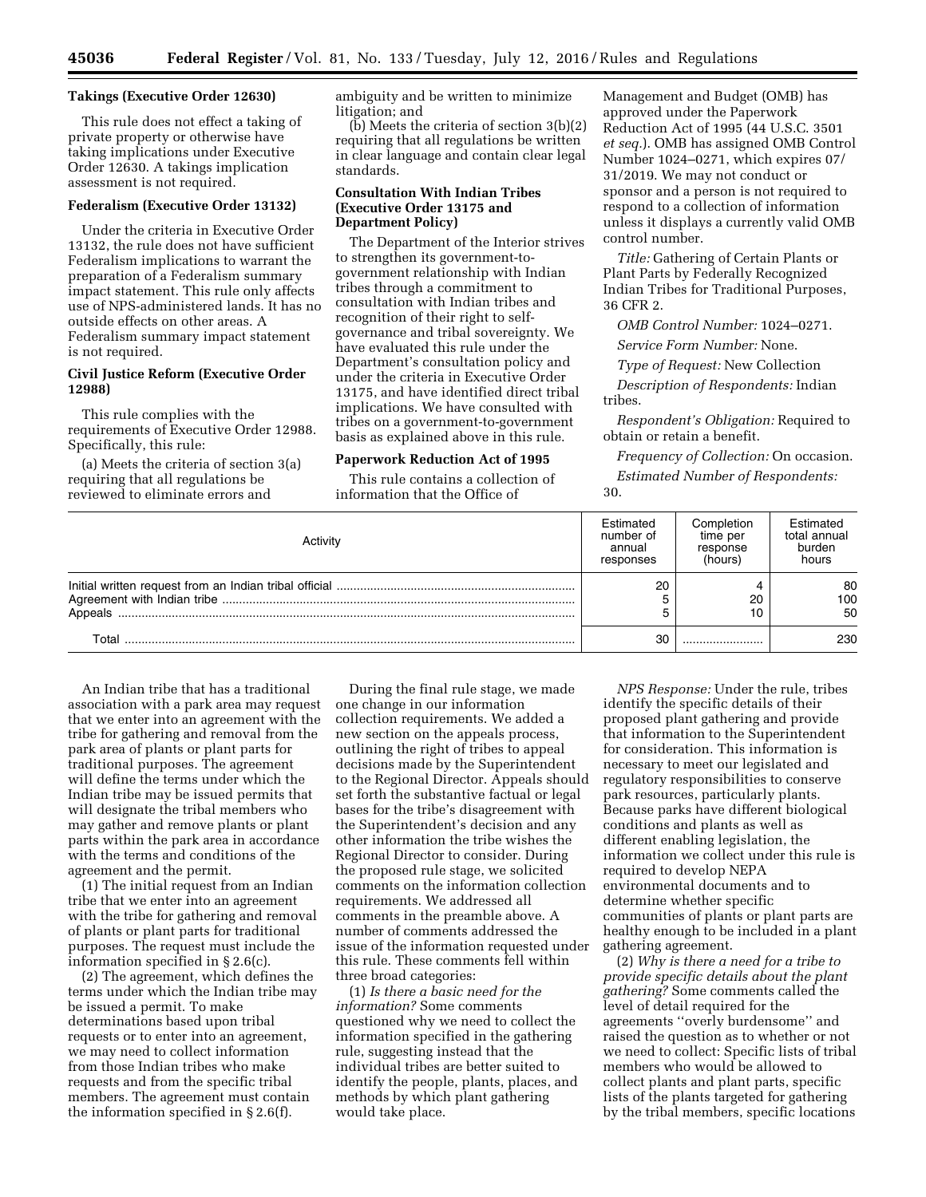#### **Takings (Executive Order 12630)**

This rule does not effect a taking of private property or otherwise have taking implications under Executive Order 12630. A takings implication assessment is not required.

### **Federalism (Executive Order 13132)**

Under the criteria in Executive Order 13132, the rule does not have sufficient Federalism implications to warrant the preparation of a Federalism summary impact statement. This rule only affects use of NPS-administered lands. It has no outside effects on other areas. A Federalism summary impact statement is not required.

### **Civil Justice Reform (Executive Order 12988)**

This rule complies with the requirements of Executive Order 12988. Specifically, this rule:

(a) Meets the criteria of section 3(a) requiring that all regulations be reviewed to eliminate errors and

ambiguity and be written to minimize litigation; and

(b) Meets the criteria of section 3(b)(2) requiring that all regulations be written in clear language and contain clear legal standards.

## **Consultation With Indian Tribes (Executive Order 13175 and Department Policy)**

The Department of the Interior strives to strengthen its government-togovernment relationship with Indian tribes through a commitment to consultation with Indian tribes and recognition of their right to selfgovernance and tribal sovereignty. We have evaluated this rule under the Department's consultation policy and under the criteria in Executive Order 13175, and have identified direct tribal implications. We have consulted with tribes on a government-to-government basis as explained above in this rule.

### **Paperwork Reduction Act of 1995**

This rule contains a collection of information that the Office of

Management and Budget (OMB) has approved under the Paperwork Reduction Act of 1995 (44 U.S.C. 3501 *et seq.*). OMB has assigned OMB Control Number 1024–0271, which expires 07/ 31/2019. We may not conduct or sponsor and a person is not required to respond to a collection of information unless it displays a currently valid OMB control number.

*Title:* Gathering of Certain Plants or Plant Parts by Federally Recognized Indian Tribes for Traditional Purposes, 36 CFR 2.

*OMB Control Number:* 1024–0271.

*Service Form Number:* None.

*Type of Request:* New Collection

*Description of Respondents:* Indian tribes.

*Respondent's Obligation:* Required to obtain or retain a benefit.

*Frequency of Collection:* On occasion. *Estimated Number of Respondents:*  30.

|         | Estimated<br>number of<br>annual<br>responses | Completion<br>time per<br>response<br>(hours) | Estimated<br>total annual<br>burden<br>hours |
|---------|-----------------------------------------------|-----------------------------------------------|----------------------------------------------|
| Appeals | 20                                            | 20                                            | 80<br>100<br>50                              |
| T∩tal   | 30                                            |                                               | 230                                          |

An Indian tribe that has a traditional association with a park area may request that we enter into an agreement with the tribe for gathering and removal from the park area of plants or plant parts for traditional purposes. The agreement will define the terms under which the Indian tribe may be issued permits that will designate the tribal members who may gather and remove plants or plant parts within the park area in accordance with the terms and conditions of the agreement and the permit.

(1) The initial request from an Indian tribe that we enter into an agreement with the tribe for gathering and removal of plants or plant parts for traditional purposes. The request must include the information specified in § 2.6(c).

(2) The agreement, which defines the terms under which the Indian tribe may be issued a permit. To make determinations based upon tribal requests or to enter into an agreement, we may need to collect information from those Indian tribes who make requests and from the specific tribal members. The agreement must contain the information specified in § 2.6(f).

During the final rule stage, we made one change in our information collection requirements. We added a new section on the appeals process, outlining the right of tribes to appeal decisions made by the Superintendent to the Regional Director. Appeals should set forth the substantive factual or legal bases for the tribe's disagreement with the Superintendent's decision and any other information the tribe wishes the Regional Director to consider. During the proposed rule stage, we solicited comments on the information collection requirements. We addressed all comments in the preamble above. A number of comments addressed the issue of the information requested under this rule. These comments fell within three broad categories:

(1) *Is there a basic need for the information?* Some comments questioned why we need to collect the information specified in the gathering rule, suggesting instead that the individual tribes are better suited to identify the people, plants, places, and methods by which plant gathering would take place.

*NPS Response:* Under the rule, tribes identify the specific details of their proposed plant gathering and provide that information to the Superintendent for consideration. This information is necessary to meet our legislated and regulatory responsibilities to conserve park resources, particularly plants. Because parks have different biological conditions and plants as well as different enabling legislation, the information we collect under this rule is required to develop NEPA environmental documents and to determine whether specific communities of plants or plant parts are healthy enough to be included in a plant gathering agreement.

(2) *Why is there a need for a tribe to provide specific details about the plant gathering?* Some comments called the level of detail required for the agreements ''overly burdensome'' and raised the question as to whether or not we need to collect: Specific lists of tribal members who would be allowed to collect plants and plant parts, specific lists of the plants targeted for gathering by the tribal members, specific locations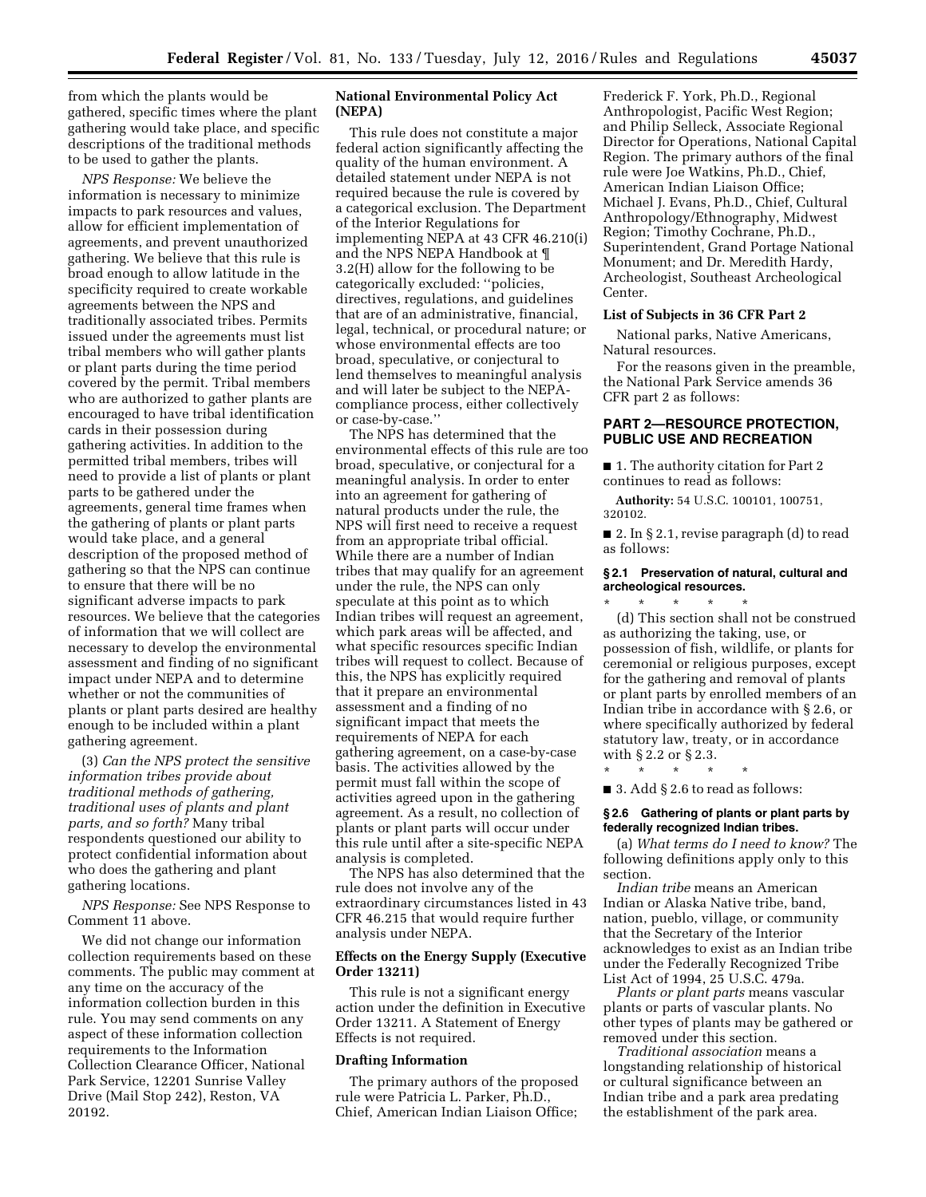from which the plants would be gathered, specific times where the plant gathering would take place, and specific descriptions of the traditional methods to be used to gather the plants.

*NPS Response:* We believe the information is necessary to minimize impacts to park resources and values, allow for efficient implementation of agreements, and prevent unauthorized gathering. We believe that this rule is broad enough to allow latitude in the specificity required to create workable agreements between the NPS and traditionally associated tribes. Permits issued under the agreements must list tribal members who will gather plants or plant parts during the time period covered by the permit. Tribal members who are authorized to gather plants are encouraged to have tribal identification cards in their possession during gathering activities. In addition to the permitted tribal members, tribes will need to provide a list of plants or plant parts to be gathered under the agreements, general time frames when the gathering of plants or plant parts would take place, and a general description of the proposed method of gathering so that the NPS can continue to ensure that there will be no significant adverse impacts to park resources. We believe that the categories of information that we will collect are necessary to develop the environmental assessment and finding of no significant impact under NEPA and to determine whether or not the communities of plants or plant parts desired are healthy enough to be included within a plant gathering agreement.

(3) *Can the NPS protect the sensitive information tribes provide about traditional methods of gathering, traditional uses of plants and plant parts, and so forth?* Many tribal respondents questioned our ability to protect confidential information about who does the gathering and plant gathering locations.

*NPS Response:* See NPS Response to Comment 11 above.

We did not change our information collection requirements based on these comments. The public may comment at any time on the accuracy of the information collection burden in this rule. You may send comments on any aspect of these information collection requirements to the Information Collection Clearance Officer, National Park Service, 12201 Sunrise Valley Drive (Mail Stop 242), Reston, VA 20192.

## **National Environmental Policy Act (NEPA)**

This rule does not constitute a major federal action significantly affecting the quality of the human environment. A detailed statement under NEPA is not required because the rule is covered by a categorical exclusion. The Department of the Interior Regulations for implementing NEPA at 43 CFR 46.210(i) and the NPS NEPA Handbook at ¶ 3.2(H) allow for the following to be categorically excluded: ''policies, directives, regulations, and guidelines that are of an administrative, financial, legal, technical, or procedural nature; or whose environmental effects are too broad, speculative, or conjectural to lend themselves to meaningful analysis and will later be subject to the NEPAcompliance process, either collectively or case-by-case.''

The NPS has determined that the environmental effects of this rule are too broad, speculative, or conjectural for a meaningful analysis. In order to enter into an agreement for gathering of natural products under the rule, the NPS will first need to receive a request from an appropriate tribal official. While there are a number of Indian tribes that may qualify for an agreement under the rule, the NPS can only speculate at this point as to which Indian tribes will request an agreement, which park areas will be affected, and what specific resources specific Indian tribes will request to collect. Because of this, the NPS has explicitly required that it prepare an environmental assessment and a finding of no significant impact that meets the requirements of NEPA for each gathering agreement, on a case-by-case basis. The activities allowed by the permit must fall within the scope of activities agreed upon in the gathering agreement. As a result, no collection of plants or plant parts will occur under this rule until after a site-specific NEPA analysis is completed.

The NPS has also determined that the rule does not involve any of the extraordinary circumstances listed in 43 CFR 46.215 that would require further analysis under NEPA.

### **Effects on the Energy Supply (Executive Order 13211)**

This rule is not a significant energy action under the definition in Executive Order 13211. A Statement of Energy Effects is not required.

#### **Drafting Information**

The primary authors of the proposed rule were Patricia L. Parker, Ph.D., Chief, American Indian Liaison Office;

Frederick F. York, Ph.D., Regional Anthropologist, Pacific West Region; and Philip Selleck, Associate Regional Director for Operations, National Capital Region. The primary authors of the final rule were Joe Watkins, Ph.D., Chief, American Indian Liaison Office; Michael J. Evans, Ph.D., Chief, Cultural Anthropology/Ethnography, Midwest Region; Timothy Cochrane, Ph.D., Superintendent, Grand Portage National Monument; and Dr. Meredith Hardy, Archeologist, Southeast Archeological Center.

# **List of Subjects in 36 CFR Part 2**

National parks, Native Americans, Natural resources.

For the reasons given in the preamble, the National Park Service amends 36 CFR part 2 as follows:

## **PART 2—RESOURCE PROTECTION, PUBLIC USE AND RECREATION**

■ 1. The authority citation for Part 2 continues to read as follows:

**Authority:** 54 U.S.C. 100101, 100751, 320102.

■ 2. In § 2.1, revise paragraph (d) to read as follows:

### **§ 2.1 Preservation of natural, cultural and archeological resources.**

\* \* \* \* \* (d) This section shall not be construed as authorizing the taking, use, or possession of fish, wildlife, or plants for ceremonial or religious purposes, except for the gathering and removal of plants or plant parts by enrolled members of an Indian tribe in accordance with § 2.6, or where specifically authorized by federal statutory law, treaty, or in accordance with § 2.2 or § 2.3.

\* \* \* \* \*

■ 3. Add § 2.6 to read as follows:

#### **§ 2.6 Gathering of plants or plant parts by federally recognized Indian tribes.**

(a) *What terms do I need to know?* The following definitions apply only to this section.

*Indian tribe* means an American Indian or Alaska Native tribe, band, nation, pueblo, village, or community that the Secretary of the Interior acknowledges to exist as an Indian tribe under the Federally Recognized Tribe List Act of 1994, 25 U.S.C. 479a.

*Plants or plant parts* means vascular plants or parts of vascular plants. No other types of plants may be gathered or removed under this section.

*Traditional association* means a longstanding relationship of historical or cultural significance between an Indian tribe and a park area predating the establishment of the park area.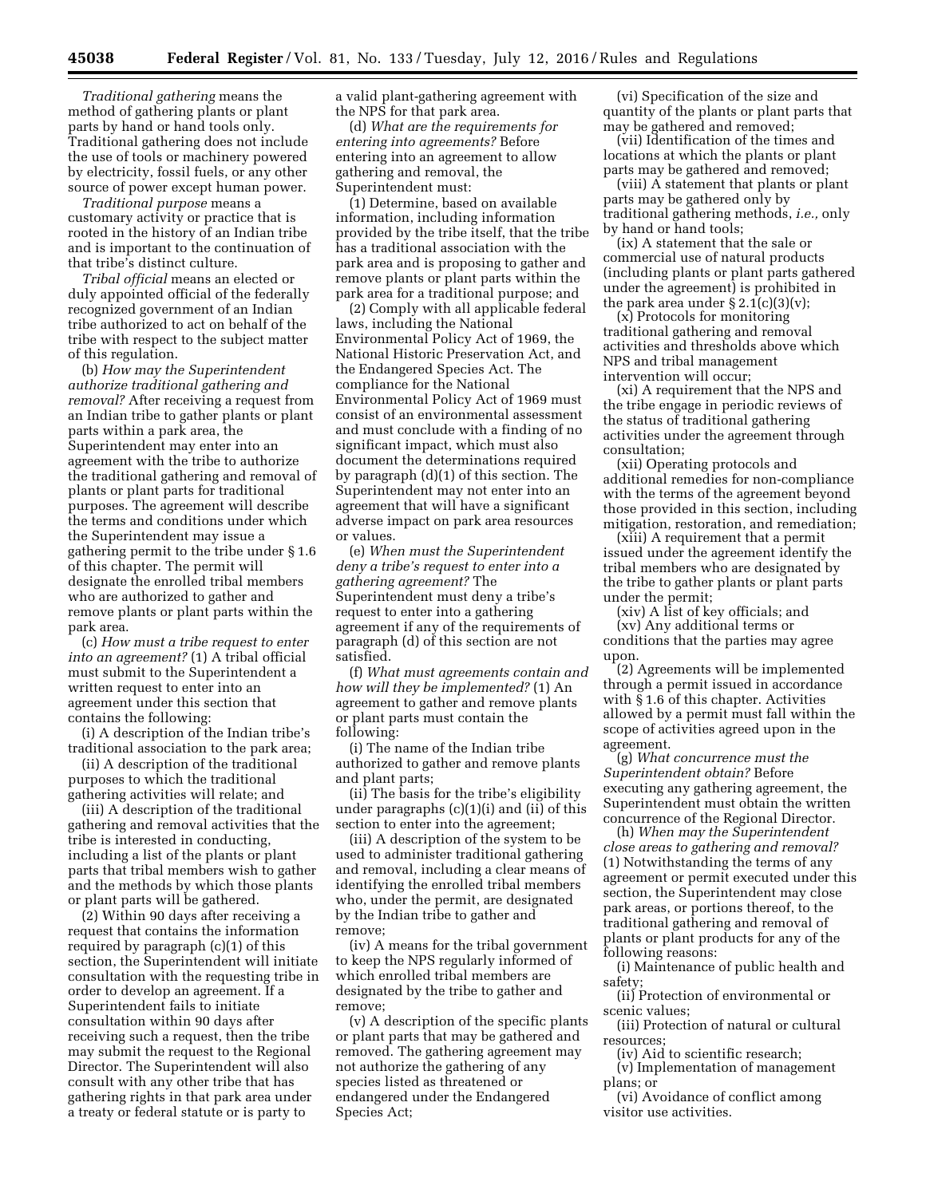*Traditional gathering* means the method of gathering plants or plant parts by hand or hand tools only. Traditional gathering does not include the use of tools or machinery powered by electricity, fossil fuels, or any other source of power except human power.

*Traditional purpose* means a customary activity or practice that is rooted in the history of an Indian tribe and is important to the continuation of that tribe's distinct culture.

*Tribal official* means an elected or duly appointed official of the federally recognized government of an Indian tribe authorized to act on behalf of the tribe with respect to the subject matter of this regulation.

(b) *How may the Superintendent authorize traditional gathering and removal?* After receiving a request from an Indian tribe to gather plants or plant parts within a park area, the Superintendent may enter into an agreement with the tribe to authorize the traditional gathering and removal of plants or plant parts for traditional purposes. The agreement will describe the terms and conditions under which the Superintendent may issue a gathering permit to the tribe under § 1.6 of this chapter. The permit will designate the enrolled tribal members who are authorized to gather and remove plants or plant parts within the park area.

(c) *How must a tribe request to enter into an agreement?* (1) A tribal official must submit to the Superintendent a written request to enter into an agreement under this section that contains the following:

(i) A description of the Indian tribe's traditional association to the park area;

(ii) A description of the traditional purposes to which the traditional gathering activities will relate; and

(iii) A description of the traditional gathering and removal activities that the tribe is interested in conducting, including a list of the plants or plant parts that tribal members wish to gather and the methods by which those plants or plant parts will be gathered.

(2) Within 90 days after receiving a request that contains the information required by paragraph (c)(1) of this section, the Superintendent will initiate consultation with the requesting tribe in order to develop an agreement. If a Superintendent fails to initiate consultation within 90 days after receiving such a request, then the tribe may submit the request to the Regional Director. The Superintendent will also consult with any other tribe that has gathering rights in that park area under a treaty or federal statute or is party to

a valid plant-gathering agreement with the NPS for that park area.

(d) *What are the requirements for entering into agreements?* Before entering into an agreement to allow gathering and removal, the Superintendent must:

(1) Determine, based on available information, including information provided by the tribe itself, that the tribe has a traditional association with the park area and is proposing to gather and remove plants or plant parts within the park area for a traditional purpose; and

(2) Comply with all applicable federal laws, including the National Environmental Policy Act of 1969, the National Historic Preservation Act, and the Endangered Species Act. The compliance for the National Environmental Policy Act of 1969 must consist of an environmental assessment and must conclude with a finding of no significant impact, which must also document the determinations required by paragraph (d)(1) of this section. The Superintendent may not enter into an agreement that will have a significant adverse impact on park area resources or values.

(e) *When must the Superintendent deny a tribe's request to enter into a gathering agreement?* The Superintendent must deny a tribe's request to enter into a gathering agreement if any of the requirements of paragraph (d) of this section are not satisfied.

(f) *What must agreements contain and how will they be implemented?* (1) An agreement to gather and remove plants or plant parts must contain the following:

(i) The name of the Indian tribe authorized to gather and remove plants and plant parts;

(ii) The basis for the tribe's eligibility under paragraphs (c)(1)(i) and (ii) of this section to enter into the agreement;

(iii) A description of the system to be used to administer traditional gathering and removal, including a clear means of identifying the enrolled tribal members who, under the permit, are designated by the Indian tribe to gather and remove;

(iv) A means for the tribal government to keep the NPS regularly informed of which enrolled tribal members are designated by the tribe to gather and remove;

(v) A description of the specific plants or plant parts that may be gathered and removed. The gathering agreement may not authorize the gathering of any species listed as threatened or endangered under the Endangered Species Act;

(vi) Specification of the size and quantity of the plants or plant parts that may be gathered and removed;

(vii) Identification of the times and locations at which the plants or plant parts may be gathered and removed;

(viii) A statement that plants or plant parts may be gathered only by traditional gathering methods, *i.e.,* only by hand or hand tools;

(ix) A statement that the sale or commercial use of natural products (including plants or plant parts gathered under the agreement) is prohibited in the park area under  $\S 2.1(c)(3)(v)$ ;

(x) Protocols for monitoring traditional gathering and removal activities and thresholds above which NPS and tribal management intervention will occur;

(xi) A requirement that the NPS and the tribe engage in periodic reviews of the status of traditional gathering activities under the agreement through consultation;

(xii) Operating protocols and additional remedies for non-compliance with the terms of the agreement beyond those provided in this section, including mitigation, restoration, and remediation;

(xiii) A requirement that a permit issued under the agreement identify the tribal members who are designated by the tribe to gather plants or plant parts under the permit;

(xiv) A list of key officials; and

(xv) Any additional terms or conditions that the parties may agree upon.

(2) Agreements will be implemented through a permit issued in accordance with § 1.6 of this chapter. Activities allowed by a permit must fall within the scope of activities agreed upon in the agreement.

(g) *What concurrence must the Superintendent obtain?* Before executing any gathering agreement, the Superintendent must obtain the written concurrence of the Regional Director.

(h) *When may the Superintendent close areas to gathering and removal?*  (1) Notwithstanding the terms of any agreement or permit executed under this section, the Superintendent may close park areas, or portions thereof, to the traditional gathering and removal of plants or plant products for any of the following reasons:

(i) Maintenance of public health and safety;

(ii) Protection of environmental or scenic values;

(iii) Protection of natural or cultural resources;

(iv) Aid to scientific research;

(v) Implementation of management plans; or

(vi) Avoidance of conflict among visitor use activities.